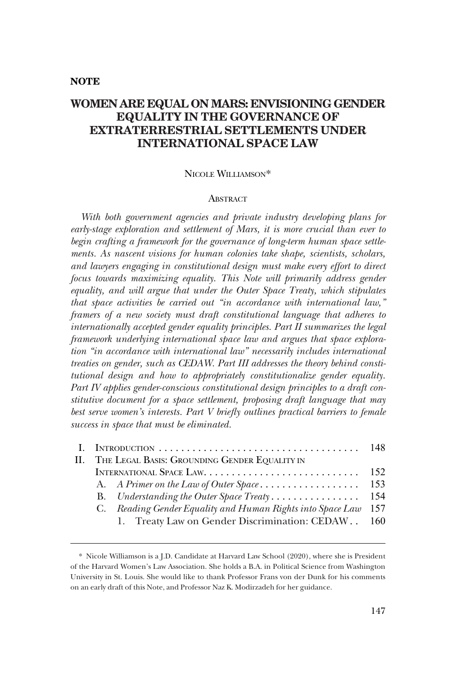# **NOTE**

# **WOMEN ARE EQUAL ON MARS: ENVISIONING GENDER EQUALITY IN THE GOVERNANCE OF EXTRATERRESTRIAL SETTLEMENTS UNDER INTERNATIONAL SPACE LAW**

#### NICOLE WILLIAMSON\*

#### **ABSTRACT**

*With both government agencies and private industry developing plans for early-stage exploration and settlement of Mars, it is more crucial than ever to begin crafting a framework for the governance of long-term human space settlements. As nascent visions for human colonies take shape, scientists, scholars, and lawyers engaging in constitutional design must make every effort to direct*  focus towards maximizing equality. This Note will primarily address gender equality, and will argue that under the Outer Space Treaty, which stipulates *that space activities be carried out "in accordance with international law," framers of a new society must draft constitutional language that adheres to internationally accepted gender equality principles. Part II summarizes the legal framework underlying international space law and argues that space exploration "in accordance with international law" necessarily includes international treaties on gender, such as CEDAW. Part III addresses the theory behind constitutional design and how to appropriately constitutionalize gender equality. Part IV applies gender-conscious constitutional design principles to a draft constitutive document for a space settlement, proposing draft language that may best serve women's interests. Part V briefy outlines practical barriers to female success in space that must be eliminated.* 

|  | II. THE LEGAL BASIS: GROUNDING GENDER EQUALITY IN          |     |
|--|------------------------------------------------------------|-----|
|  |                                                            |     |
|  |                                                            |     |
|  |                                                            |     |
|  | C. Reading Gender Equality and Human Rights into Space Law | 157 |
|  | 1. Treaty Law on Gender Discrimination: CEDAW. . 160       |     |
|  |                                                            |     |

<sup>\*</sup> Nicole Williamson is a J.D. Candidate at Harvard Law School (2020), where she is President of the Harvard Women's Law Association. She holds a B.A. in Political Science from Washington University in St. Louis. She would like to thank Professor Frans von der Dunk for his comments on an early draft of this Note, and Professor Naz K. Modirzadeh for her guidance.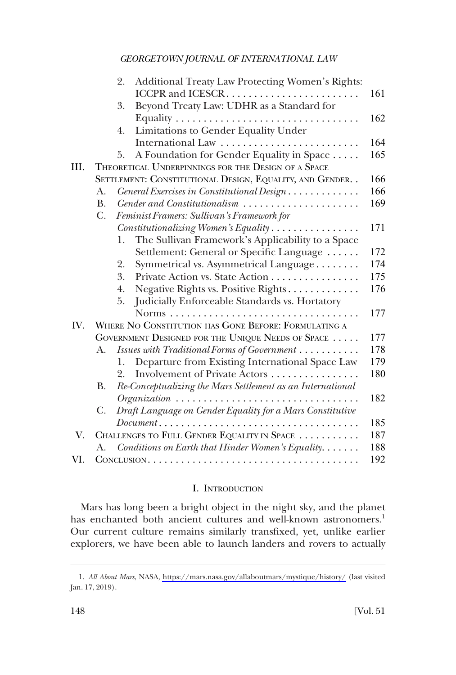<span id="page-1-0"></span>

|                                                            | Additional Treaty Law Protecting Women's Rights:<br>2.                                         |                                                                                                                                                                                                                                                     |  |  |
|------------------------------------------------------------|------------------------------------------------------------------------------------------------|-----------------------------------------------------------------------------------------------------------------------------------------------------------------------------------------------------------------------------------------------------|--|--|
|                                                            |                                                                                                | 161                                                                                                                                                                                                                                                 |  |  |
|                                                            | Beyond Treaty Law: UDHR as a Standard for<br>3.                                                |                                                                                                                                                                                                                                                     |  |  |
|                                                            |                                                                                                | 162                                                                                                                                                                                                                                                 |  |  |
|                                                            | Limitations to Gender Equality Under<br>4.                                                     |                                                                                                                                                                                                                                                     |  |  |
|                                                            |                                                                                                | 164                                                                                                                                                                                                                                                 |  |  |
|                                                            | A Foundation for Gender Equality in Space<br>5.                                                | 165                                                                                                                                                                                                                                                 |  |  |
|                                                            |                                                                                                |                                                                                                                                                                                                                                                     |  |  |
| SETTLEMENT: CONSTITUTIONAL DESIGN, EQUALITY, AND GENDER. . |                                                                                                |                                                                                                                                                                                                                                                     |  |  |
| A <sub>1</sub>                                             | General Exercises in Constitutional Design                                                     | 166                                                                                                                                                                                                                                                 |  |  |
| <b>B.</b>                                                  | Gender and Constitutionalism                                                                   | 169                                                                                                                                                                                                                                                 |  |  |
| $C_{\cdot}$                                                | Feminist Framers: Sullivan's Framework for                                                     |                                                                                                                                                                                                                                                     |  |  |
|                                                            | Constitutionalizing Women's Equality                                                           | 171                                                                                                                                                                                                                                                 |  |  |
|                                                            | 1.                                                                                             |                                                                                                                                                                                                                                                     |  |  |
|                                                            | Settlement: General or Specific Language                                                       | 172                                                                                                                                                                                                                                                 |  |  |
|                                                            | Symmetrical vs. Asymmetrical Language<br>2.                                                    | 174                                                                                                                                                                                                                                                 |  |  |
|                                                            | 3.<br>Private Action vs. State Action                                                          | 175                                                                                                                                                                                                                                                 |  |  |
|                                                            | 4.                                                                                             | 176                                                                                                                                                                                                                                                 |  |  |
|                                                            | Judicially Enforceable Standards vs. Hortatory<br>5.                                           |                                                                                                                                                                                                                                                     |  |  |
|                                                            |                                                                                                | 177                                                                                                                                                                                                                                                 |  |  |
| WHERE NO CONSTITUTION HAS GONE BEFORE: FORMULATING A       |                                                                                                |                                                                                                                                                                                                                                                     |  |  |
|                                                            |                                                                                                | 177                                                                                                                                                                                                                                                 |  |  |
| А.                                                         | Issues with Traditional Forms of Government                                                    | 178                                                                                                                                                                                                                                                 |  |  |
|                                                            | Departure from Existing International Space Law<br>1.                                          | 179                                                                                                                                                                                                                                                 |  |  |
|                                                            | Involvement of Private Actors<br>2.                                                            | 180                                                                                                                                                                                                                                                 |  |  |
| В.                                                         | Re-Conceptualizing the Mars Settlement as an International                                     |                                                                                                                                                                                                                                                     |  |  |
|                                                            |                                                                                                | 182                                                                                                                                                                                                                                                 |  |  |
| C.                                                         | Draft Language on Gender Equality for a Mars Constitutive                                      |                                                                                                                                                                                                                                                     |  |  |
|                                                            | $Document \dots \dots \dots \dots \dots \dots \dots \dots \dots \dots \dots \dots \dots \dots$ | 185                                                                                                                                                                                                                                                 |  |  |
|                                                            |                                                                                                | 187                                                                                                                                                                                                                                                 |  |  |
| A.                                                         | Conditions on Earth that Hinder Women's Equality                                               | 188                                                                                                                                                                                                                                                 |  |  |
|                                                            |                                                                                                | 192                                                                                                                                                                                                                                                 |  |  |
|                                                            |                                                                                                | THEORETICAL UNDERPINNINGS FOR THE DESIGN OF A SPACE<br>The Sullivan Framework's Applicability to a Space<br>Negative Rights vs. Positive Rights<br>GOVERNMENT DESIGNED FOR THE UNIQUE NEEDS OF SPACE<br>CHALLENGES TO FULL GENDER EQUALITY IN SPACE |  |  |

# I. INTRODUCTION

Mars has long been a bright object in the night sky, and the planet has enchanted both ancient cultures and well-known astronomers.<sup>1</sup> Our current culture remains similarly transfxed, yet, unlike earlier explorers, we have been able to launch landers and rovers to actually

*All About Mars*, NASA, <https://mars.nasa.gov/allaboutmars/mystique/history/>(last visited 1. Jan. 17, 2019).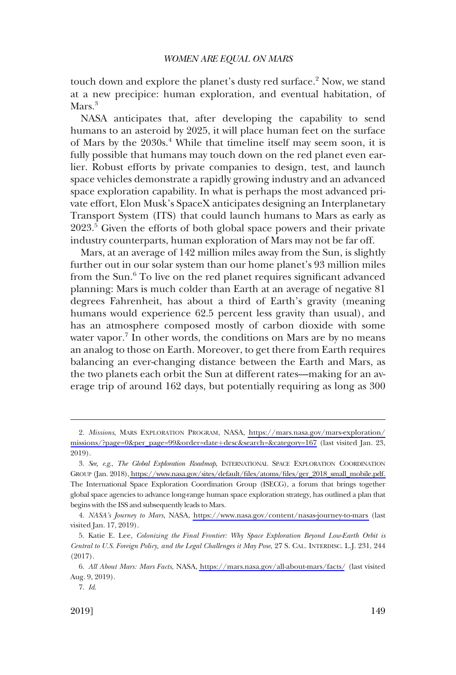touch down and explore the planet's dusty red surface.<sup>2</sup> Now, we stand at a new precipice: human exploration, and eventual habitation, of Mars.<sup>3</sup>

NASA anticipates that, after developing the capability to send humans to an asteroid by 2025, it will place human feet on the surface of Mars by the 2030s.<sup>4</sup> While that timeline itself may seem soon, it is fully possible that humans may touch down on the red planet even earlier. Robust efforts by private companies to design, test, and launch space vehicles demonstrate a rapidly growing industry and an advanced space exploration capability. In what is perhaps the most advanced private effort, Elon Musk's SpaceX anticipates designing an Interplanetary Transport System (ITS) that could launch humans to Mars as early as 2023.<sup>5</sup> Given the efforts of both global space powers and their private industry counterparts, human exploration of Mars may not be far off.

Mars, at an average of 142 million miles away from the Sun, is slightly further out in our solar system than our home planet's 93 million miles from the Sun.<sup>6</sup> To live on the red planet requires significant advanced planning: Mars is much colder than Earth at an average of negative 81 degrees Fahrenheit, has about a third of Earth's gravity (meaning humans would experience 62.5 percent less gravity than usual), and has an atmosphere composed mostly of carbon dioxide with some water vapor.<sup>7</sup> In other words, the conditions on Mars are by no means an analog to those on Earth. Moreover, to get there from Earth requires balancing an ever-changing distance between the Earth and Mars, as the two planets each orbit the Sun at different rates—making for an average trip of around 162 days, but potentially requiring as long as 300

*Missions*, MARS EXPLORATION PROGRAM, NASA, [https://mars.nasa.gov/mars-exploration/](https://mars.nasa.gov/mars-exploration/missions/?page=0&per_page=99&order=date+desc&search=&category=167) 2. [missions/?page=0&per\\_page=99&order=date](https://mars.nasa.gov/mars-exploration/missions/?page=0&per_page=99&order=date+desc&search=&category=167)+desc&search=&category=167 (last visited Jan. 23, 2019).

*See, e.g*., *The Global Exploration Roadmap*, INTERNATIONAL SPACE EXPLORATION COORDINATION 3. GROUP (Jan. 2018)[, https://www.nasa.gov/sites/default/fles/atoms/fles/ger\\_2018\\_small\\_mobile.pdf.](https://www.nasa.gov/sites/default/files/atoms/files/ger_2018_small_mobile.pdf)  The International Space Exploration Coordination Group (ISECG), a forum that brings together global space agencies to advance long-range human space exploration strategy, has outlined a plan that begins with the ISS and subsequently leads to Mars.

*NASA's Journey to Mars*, NASA, <https://www.nasa.gov/content/nasas-journey-to-mars>(last 4. visited Jan. 17, 2019).

<sup>5.</sup> Katie E. Lee, *Colonizing the Final Frontier: Why Space Exploration Beyond Low-Earth Orbit is Central to U.S. Foreign Policy, and the Legal Challenges it May Pose*, 27 S. CAL. INTERDISC. L.J. 231, 244 (2017).

*All About Mars: Mars Facts*, NASA,<https://mars.nasa.gov/all-about-mars/facts/> (last visited 6. Aug. 9, 2019).

<sup>7.</sup> *Id*.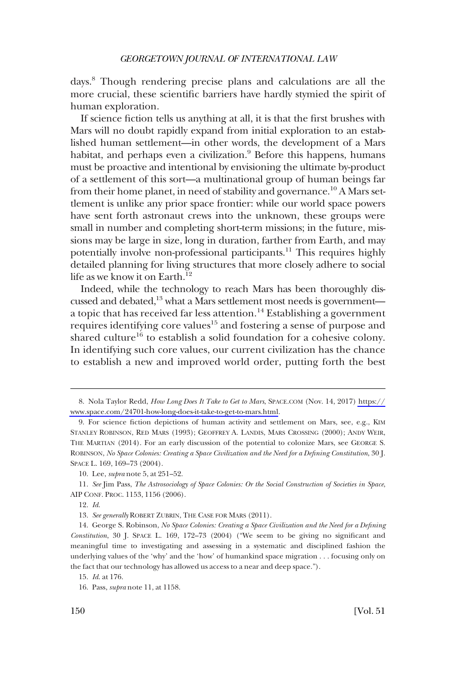days.8 Though rendering precise plans and calculations are all the more crucial, these scientifc barriers have hardly stymied the spirit of human exploration.

If science fction tells us anything at all, it is that the frst brushes with Mars will no doubt rapidly expand from initial exploration to an established human settlement—in other words, the development of a Mars habitat, and perhaps even a civilization.<sup>9</sup> Before this happens, humans must be proactive and intentional by envisioning the ultimate by-product of a settlement of this sort—a multinational group of human beings far from their home planet, in need of stability and governance.<sup>10</sup> A Mars settlement is unlike any prior space frontier: while our world space powers have sent forth astronaut crews into the unknown, these groups were small in number and completing short-term missions; in the future, missions may be large in size, long in duration, farther from Earth, and may potentially involve non-professional participants.<sup>11</sup> This requires highly detailed planning for living structures that more closely adhere to social life as we know it on Earth.<sup>12</sup>

Indeed, while the technology to reach Mars has been thoroughly discussed and debated,<sup>13</sup> what a Mars settlement most needs is government a topic that has received far less attention.<sup>14</sup> Establishing a government requires identifying core values<sup>15</sup> and fostering a sense of purpose and shared culture<sup>16</sup> to establish a solid foundation for a cohesive colony. In identifying such core values, our current civilization has the chance to establish a new and improved world order, putting forth the best

Nola Taylor Redd, *How Long Does It Take to Get to Mars*, SPACE.COM (Nov. 14, 2017) [https://](https://www.space.com/24701-how-long-does-it-take-to-get-to-mars.html)  8. [www.space.com/24701-how-long-does-it-take-to-get-to-mars.html.](https://www.space.com/24701-how-long-does-it-take-to-get-to-mars.html)

<sup>9.</sup> For science fction depictions of human activity and settlement on Mars, see, e.g., KIM STANLEY ROBINSON, RED MARS (1993); GEOFFREY A. LANDIS, MARS CROSSING (2000); ANDY WEIR, THE MARTIAN (2014). For an early discussion of the potential to colonize Mars, see GEORGE S. ROBINSON, *No Space Colonies: Creating a Space Civilization and the Need for a Defning Constitution*, 30 J. SPACE L. 169, 169–73 (2004).

<sup>10.</sup> Lee, *supra* note 5, at 251–52.

<sup>11.</sup> *See* Jim Pass, *The Astrosociology of Space Colonies: Or the Social Construction of Societies in Space*, AIP CONF. PROC. 1153, 1156 (2006).

<sup>12.</sup> *Id*.

<sup>13.</sup> *See generally* ROBERT ZUBRIN, THE CASE FOR MARS (2011).

<sup>14.</sup> George S. Robinson, *No Space Colonies: Creating a Space Civilization and the Need for a Defning Constitution*, 30 J. SPACE L. 169, 172–73 (2004) ("We seem to be giving no signifcant and meaningful time to investigating and assessing in a systematic and disciplined fashion the underlying values of the 'why' and the 'how' of humankind space migration . . . focusing only on the fact that our technology has allowed us access to a near and deep space.").

<sup>15.</sup> *Id*. at 176.

<sup>16.</sup> Pass, *supra* note 11, at 1158.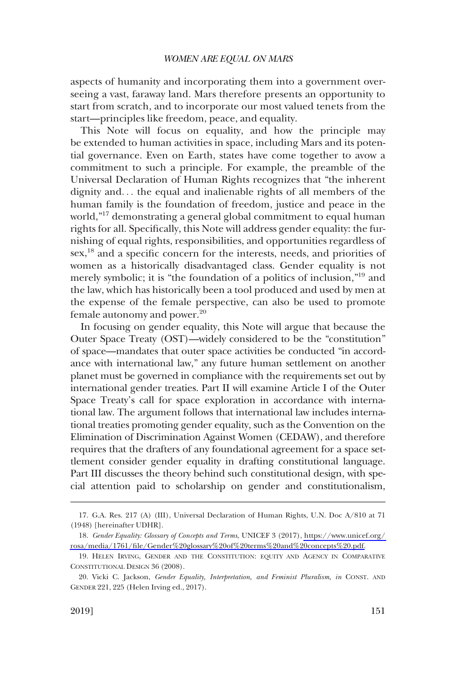aspects of humanity and incorporating them into a government overseeing a vast, faraway land. Mars therefore presents an opportunity to start from scratch, and to incorporate our most valued tenets from the start—principles like freedom, peace, and equality.

This Note will focus on equality, and how the principle may be extended to human activities in space, including Mars and its potential governance. Even on Earth, states have come together to avow a commitment to such a principle. For example, the preamble of the Universal Declaration of Human Rights recognizes that "the inherent dignity and. . . the equal and inalienable rights of all members of the human family is the foundation of freedom, justice and peace in the world,"17 demonstrating a general global commitment to equal human rights for all. Specifcally, this Note will address gender equality: the furnishing of equal rights, responsibilities, and opportunities regardless of sex,<sup>18</sup> and a specific concern for the interests, needs, and priorities of women as a historically disadvantaged class. Gender equality is not merely symbolic; it is "the foundation of a politics of inclusion,"19 and the law, which has historically been a tool produced and used by men at the expense of the female perspective, can also be used to promote female autonomy and power.<sup>20</sup>

In focusing on gender equality, this Note will argue that because the Outer Space Treaty (OST)—widely considered to be the "constitution" of space—mandates that outer space activities be conducted "in accordance with international law," any future human settlement on another planet must be governed in compliance with the requirements set out by international gender treaties. Part II will examine Article I of the Outer Space Treaty's call for space exploration in accordance with international law. The argument follows that international law includes international treaties promoting gender equality, such as the Convention on the Elimination of Discrimination Against Women (CEDAW), and therefore requires that the drafters of any foundational agreement for a space settlement consider gender equality in drafting constitutional language. Part III discusses the theory behind such constitutional design, with special attention paid to scholarship on gender and constitutionalism,

<sup>17.</sup> G.A. Res. 217 (A) (III), Universal Declaration of Human Rights, U.N. Doc A/810 at 71 (1948) [hereinafter UDHR].

*Gender Equality: Glossary of Concepts and Terms*, UNICEF 3 (2017), [https://www.unicef.org/](https://www.unicef.org/rosa/media/1761/file/Gender%20glossary%20of%20terms%20and%20concepts%20.pdf)  18. [rosa/media/1761/fle/Gender%20glossary%20of%20terms%20and%20concepts%20.pdf.](https://www.unicef.org/rosa/media/1761/file/Gender%20glossary%20of%20terms%20and%20concepts%20.pdf)

<sup>19.</sup> HELEN IRVING, GENDER AND THE CONSTITUTION: EQUITY AND AGENCY IN COMPARATIVE CONSTITUTIONAL DESIGN 36 (2008).

<sup>20.</sup> Vicki C. Jackson, *Gender Equality, Interpretation, and Feminist Pluralism, in* CONST. AND GENDER 221, 225 (Helen Irving ed., 2017).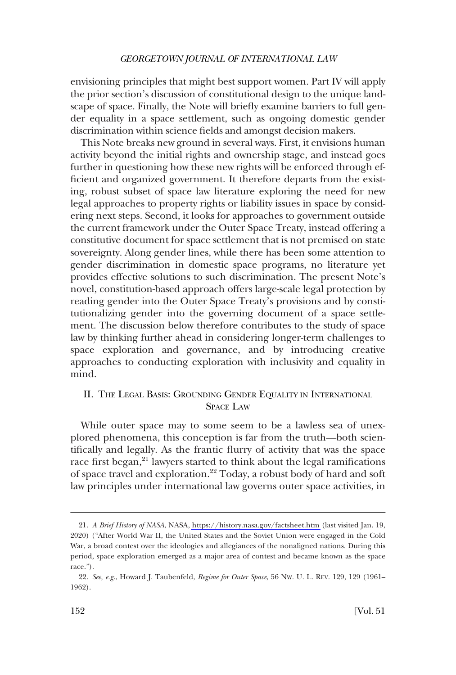<span id="page-5-0"></span>envisioning principles that might best support women. Part IV will apply the prior section's discussion of constitutional design to the unique landscape of space. Finally, the Note will briefy examine barriers to full gender equality in a space settlement, such as ongoing domestic gender discrimination within science felds and amongst decision makers.

This Note breaks new ground in several ways. First, it envisions human activity beyond the initial rights and ownership stage, and instead goes further in questioning how these new rights will be enforced through effcient and organized government. It therefore departs from the existing, robust subset of space law literature exploring the need for new legal approaches to property rights or liability issues in space by considering next steps. Second, it looks for approaches to government outside the current framework under the Outer Space Treaty, instead offering a constitutive document for space settlement that is not premised on state sovereignty. Along gender lines, while there has been some attention to gender discrimination in domestic space programs, no literature yet provides effective solutions to such discrimination. The present Note's novel, constitution-based approach offers large-scale legal protection by reading gender into the Outer Space Treaty's provisions and by constitutionalizing gender into the governing document of a space settlement. The discussion below therefore contributes to the study of space law by thinking further ahead in considering longer-term challenges to space exploration and governance, and by introducing creative approaches to conducting exploration with inclusivity and equality in mind.

# II. THE LEGAL BASIS: GROUNDING GENDER EQUALITY IN INTERNATIONAL SPACE LAW

While outer space may to some seem to be a lawless sea of unexplored phenomena, this conception is far from the truth—both scientifcally and legally. As the frantic furry of activity that was the space race first began,<sup>21</sup> lawyers started to think about the legal ramifications of space travel and exploration.22 Today, a robust body of hard and soft law principles under international law governs outer space activities, in

*A Brief History of NASA*, NASA,<https://history.nasa.gov/factsheet.htm>(last visited Jan. 19, 21. 2020) ("After World War II, the United States and the Soviet Union were engaged in the Cold War, a broad contest over the ideologies and allegiances of the nonaligned nations. During this period, space exploration emerged as a major area of contest and became known as the space race.").

<sup>22.</sup> *See, e.g*., Howard J. Taubenfeld, *Regime for Outer Space*, 56 NW. U. L. REV. 129, 129 (1961– 1962).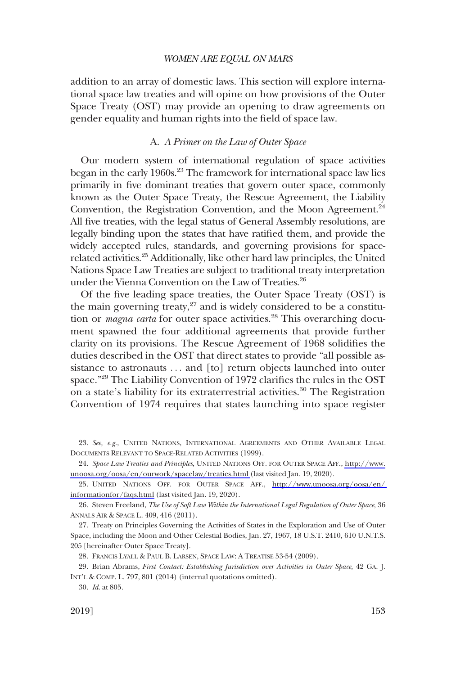<span id="page-6-0"></span>addition to an array of domestic laws. This section will explore international space law treaties and will opine on how provisions of the Outer Space Treaty (OST) may provide an opening to draw agreements on gender equality and human rights into the feld of space law.

### A. *A Primer on the Law of Outer Space*

Our modern system of international regulation of space activities began in the early 1960s.<sup>23</sup> The framework for international space law lies primarily in fve dominant treaties that govern outer space, commonly known as the Outer Space Treaty, the Rescue Agreement, the Liability Convention, the Registration Convention, and the Moon Agreement.<sup>24</sup> All fve treaties, with the legal status of General Assembly resolutions, are legally binding upon the states that have ratifed them, and provide the widely accepted rules, standards, and governing provisions for spacerelated activities.<sup>25</sup> Additionally, like other hard law principles, the United Nations Space Law Treaties are subject to traditional treaty interpretation under the Vienna Convention on the Law of Treaties.<sup>26</sup>

Of the fve leading space treaties, the Outer Space Treaty (OST) is the main governing treaty, $27$  and is widely considered to be a constitution or *magna carta* for outer space activities.<sup>28</sup> This overarching document spawned the four additional agreements that provide further clarity on its provisions. The Rescue Agreement of 1968 solidifes the duties described in the OST that direct states to provide "all possible assistance to astronauts ... and [to] return objects launched into outer space."29 The Liability Convention of 1972 clarifes the rules in the OST on a state's liability for its extraterrestrial activities.<sup>30</sup> The Registration Convention of 1974 requires that states launching into space register

<sup>23.</sup> *See, e.g*., UNITED NATIONS, INTERNATIONAL AGREEMENTS AND OTHER AVAILABLE LEGAL DOCUMENTS RELEVANT TO SPACE-RELATED ACTIVITIES (1999).

*Space Law Treaties and Principles*, UNITED NATIONS OFF. FOR OUTER SPACE AFF., [http://www.](http://www.unoosa.org/oosa/en/ourwork/spacelaw/treaties.html)  24. [unoosa.org/oosa/en/ourwork/spacelaw/treaties.html](http://www.unoosa.org/oosa/en/ourwork/spacelaw/treaties.html) (last visited Jan. 19, 2020).

UNITED NATIONS OFF. FOR OUTER SPACE AFF., [http://www.unoosa.org/oosa/en/](http://www.unoosa.org/oosa/en/informationfor/faqs.html)  25. [informationfor/faqs.html](http://www.unoosa.org/oosa/en/informationfor/faqs.html) (last visited Jan. 19, 2020).

<sup>26.</sup> Steven Freeland, *The Use of Soft Law Within the International Legal Regulation of Outer Space*, 36 ANNALS AIR & SPACE L. 409, 416 (2011).

<sup>27.</sup> Treaty on Principles Governing the Activities of States in the Exploration and Use of Outer Space, including the Moon and Other Celestial Bodies, Jan. 27, 1967, 18 U.S.T. 2410, 610 U.N.T.S. 205 [hereinafter Outer Space Treaty].

<sup>28.</sup> FRANCIS LYALL & PAUL B. LARSEN, SPACE LAW: A TREATISE 53-54 (2009).

<sup>29.</sup> Brian Abrams, *First Contact: Establishing Jurisdiction over Activities in Outer Space*, 42 GA. J. INT'L & COMP. L. 797, 801 (2014) (internal quotations omitted).

<sup>30.</sup> *Id*. at 805.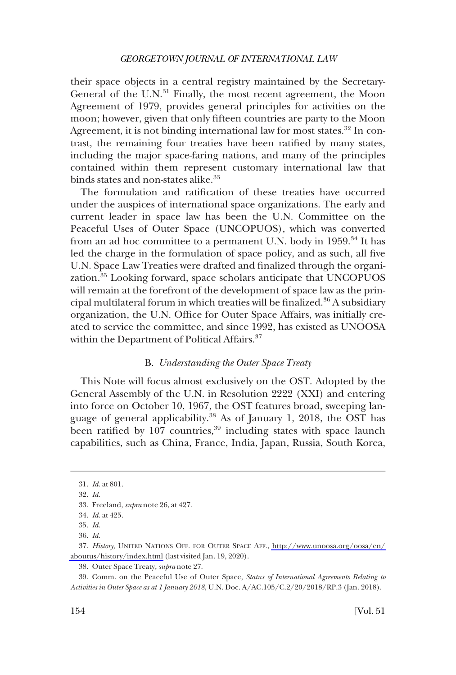<span id="page-7-0"></span>their space objects in a central registry maintained by the Secretary-General of the  $U.N.^{31}$  Finally, the most recent agreement, the Moon Agreement of 1979, provides general principles for activities on the moon; however, given that only ffteen countries are party to the Moon Agreement, it is not binding international law for most states.<sup>32</sup> In contrast, the remaining four treaties have been ratifed by many states, including the major space-faring nations, and many of the principles contained within them represent customary international law that binds states and non-states alike.<sup>33</sup>

The formulation and ratifcation of these treaties have occurred under the auspices of international space organizations. The early and current leader in space law has been the U.N. Committee on the Peaceful Uses of Outer Space (UNCOPUOS), which was converted from an ad hoc committee to a permanent U.N. body in 1959.34 It has led the charge in the formulation of space policy, and as such, all fve U.N. Space Law Treaties were drafted and fnalized through the organization.<sup>35</sup> Looking forward, space scholars anticipate that UNCOPUOS will remain at the forefront of the development of space law as the principal multilateral forum in which treaties will be finalized. $36$  A subsidiary organization, the U.N. Office for Outer Space Affairs, was initially created to service the committee, and since 1992, has existed as UNOOSA within the Department of Political Affairs.<sup>37</sup>

# B. *Understanding the Outer Space Treaty*

This Note will focus almost exclusively on the OST. Adopted by the General Assembly of the U.N. in Resolution 2222 (XXI) and entering into force on October 10, 1967, the OST features broad, sweeping language of general applicability.<sup>38</sup> As of January 1, 2018, the OST has been ratified by 107 countries,<sup>39</sup> including states with space launch capabilities, such as China, France, India, Japan, Russia, South Korea,

<sup>31.</sup> *Id*. at 801.

<sup>32.</sup> *Id*.

<sup>33.</sup> Freeland, *supra* note 26, at 427.

<sup>34.</sup> *Id*. at 425.

<sup>35.</sup> *Id*.

<sup>36.</sup> *Id*.

*History*, UNITED NATIONS OFF. FOR OUTER SPACE AFF., [http://www.unoosa.org/oosa/en/](http://www.unoosa.org/oosa/en/aboutus/history/index.html)  37. [aboutus/history/index.html](http://www.unoosa.org/oosa/en/aboutus/history/index.html) (last visited Jan. 19, 2020).

<sup>38.</sup> Outer Space Treaty, *supra* note 27.

<sup>39.</sup> Comm. on the Peaceful Use of Outer Space, *Status of International Agreements Relating to Activities in Outer Space as at 1 January 2018*, U.N. Doc. A/AC.105/C.2/20/2018/RP.3 (Jan. 2018).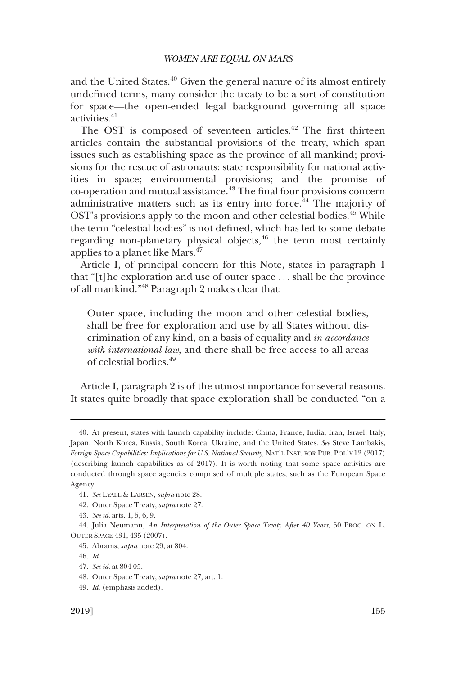and the United States.<sup>40</sup> Given the general nature of its almost entirely undefned terms, many consider the treaty to be a sort of constitution for space—the open-ended legal background governing all space activities.41

The OST is composed of seventeen articles.<sup>42</sup> The first thirteen articles contain the substantial provisions of the treaty, which span issues such as establishing space as the province of all mankind; provisions for the rescue of astronauts; state responsibility for national activities in space; environmental provisions; and the promise of co-operation and mutual assistance.43 The fnal four provisions concern administrative matters such as its entry into force.<sup>44</sup> The majority of OST's provisions apply to the moon and other celestial bodies.<sup>45</sup> While the term "celestial bodies" is not defned, which has led to some debate regarding non-planetary physical objects, $46$  the term most certainly applies to a planet like Mars.<sup>47</sup>

Article I, of principal concern for this Note, states in paragraph 1 that "[t]he exploration and use of outer space . . . shall be the province of all mankind."48 Paragraph 2 makes clear that:

Outer space, including the moon and other celestial bodies, shall be free for exploration and use by all States without discrimination of any kind, on a basis of equality and *in accordance with international law*, and there shall be free access to all areas of celestial bodies.<sup>49</sup>

Article I, paragraph 2 is of the utmost importance for several reasons. It states quite broadly that space exploration shall be conducted "on a

47. *See id*. at 804-05.

49. *Id*. (emphasis added).

<sup>40.</sup> At present, states with launch capability include: China, France, India, Iran, Israel, Italy, Japan, North Korea, Russia, South Korea, Ukraine, and the United States. *See* Steve Lambakis, *Foreign Space Capabilities: Implications for U.S. National Security*, NAT'L INST. FOR PUB. POL'Y 12 (2017) (describing launch capabilities as of 2017). It is worth noting that some space activities are conducted through space agencies comprised of multiple states, such as the European Space Agency.

<sup>41.</sup> *See* LYALL & LARSEN, *supra* note 28.

<sup>42.</sup> Outer Space Treaty, *supra* note 27.

<sup>43.</sup> *See id*. arts. 1, 5, 6, 9.

<sup>44.</sup> Julia Neumann, *An Interpretation of the Outer Space Treaty After 40 Years*, 50 PROC. ON L. OUTER SPACE 431, 435 (2007).

<sup>45.</sup> Abrams, *supra* note 29, at 804.

<sup>46.</sup> *Id*.

<sup>48.</sup> Outer Space Treaty, *supra* note 27, art. 1.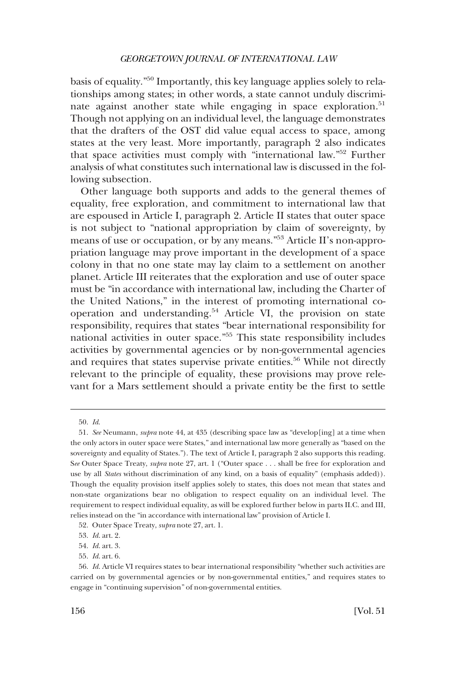basis of equality."50 Importantly, this key language applies solely to relationships among states; in other words, a state cannot unduly discriminate against another state while engaging in space exploration.<sup>51</sup> Though not applying on an individual level, the language demonstrates that the drafters of the OST did value equal access to space, among states at the very least. More importantly, paragraph 2 also indicates that space activities must comply with "international law."52 Further analysis of what constitutes such international law is discussed in the following subsection.

Other language both supports and adds to the general themes of equality, free exploration, and commitment to international law that are espoused in Article I, paragraph 2. Article II states that outer space is not subject to "national appropriation by claim of sovereignty, by means of use or occupation, or by any means."53 Article II's non-appropriation language may prove important in the development of a space colony in that no one state may lay claim to a settlement on another planet. Article III reiterates that the exploration and use of outer space must be "in accordance with international law, including the Charter of the United Nations," in the interest of promoting international cooperation and understanding.<sup>54</sup> Article VI, the provision on state responsibility, requires that states "bear international responsibility for national activities in outer space."55 This state responsibility includes activities by governmental agencies or by non-governmental agencies and requires that states supervise private entities.<sup>56</sup> While not directly relevant to the principle of equality, these provisions may prove relevant for a Mars settlement should a private entity be the frst to settle

<sup>50.</sup> *Id*.

<sup>51.</sup> *See* Neumann, *supra* note 44, at 435 (describing space law as "develop[ing] at a time when the only actors in outer space were States," and international law more generally as "based on the sovereignty and equality of States."). The text of Article I, paragraph 2 also supports this reading. S*ee* Outer Space Treaty, *supra* note 27, art. 1 ("Outer space . . . shall be free for exploration and use by all *States* without discrimination of any kind, on a basis of equality" (emphasis added)). Though the equality provision itself applies solely to states, this does not mean that states and non-state organizations bear no obligation to respect equality on an individual level. The requirement to respect individual equality, as will be explored further below in parts II.C. and III, relies instead on the "in accordance with international law" provision of Article I.

<sup>52.</sup> Outer Space Treaty, *supra* note 27, art. 1.

<sup>53.</sup> *Id*. art. 2.

<sup>54.</sup> *Id*. art. 3.

<sup>55.</sup> *Id*. art. 6.

<sup>56.</sup> *Id*. Article VI requires states to bear international responsibility "whether such activities are carried on by governmental agencies or by non-governmental entities," and requires states to engage in "continuing supervision" of non-governmental entities.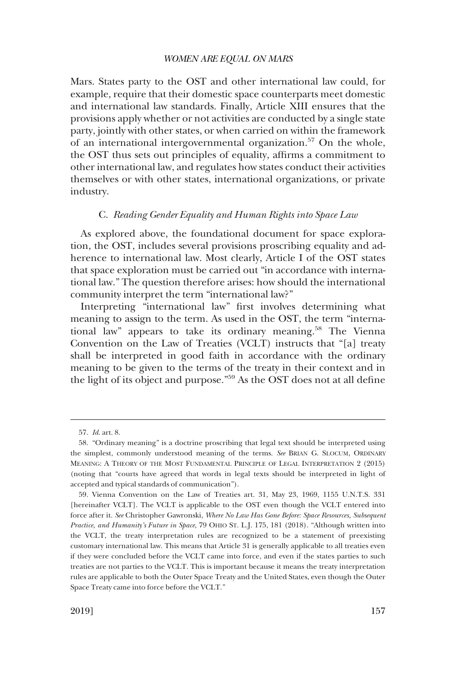<span id="page-10-0"></span>Mars. States party to the OST and other international law could, for example, require that their domestic space counterparts meet domestic and international law standards. Finally, Article XIII ensures that the provisions apply whether or not activities are conducted by a single state party, jointly with other states, or when carried on within the framework of an international intergovernmental organization.<sup>57</sup> On the whole, the OST thus sets out principles of equality, affrms a commitment to other international law, and regulates how states conduct their activities themselves or with other states, international organizations, or private industry.

#### C. *Reading Gender Equality and Human Rights into Space Law*

As explored above, the foundational document for space exploration, the OST, includes several provisions proscribing equality and adherence to international law. Most clearly, Article I of the OST states that space exploration must be carried out "in accordance with international law." The question therefore arises: how should the international community interpret the term "international law?"

Interpreting "international law" frst involves determining what meaning to assign to the term. As used in the OST, the term "international law" appears to take its ordinary meaning.<sup>58</sup> The Vienna Convention on the Law of Treaties (VCLT) instructs that "[a] treaty shall be interpreted in good faith in accordance with the ordinary meaning to be given to the terms of the treaty in their context and in the light of its object and purpose."59 As the OST does not at all defne

<sup>57.</sup> *Id*. art. 8.

<sup>58. &</sup>quot;Ordinary meaning" is a doctrine proscribing that legal text should be interpreted using the simplest, commonly understood meaning of the terms. *See* BRIAN G. SLOCUM, ORDINARY MEANING: A THEORY OF THE MOST FUNDAMENTAL PRINCIPLE OF LEGAL INTERPRETATION 2 (2015) (noting that "courts have agreed that words in legal texts should be interpreted in light of accepted and typical standards of communication").

<sup>59.</sup> Vienna Convention on the Law of Treaties art. 31, May 23, 1969, 1155 U.N.T.S. 331 [hereinafter VCLT]. The VCLT is applicable to the OST even though the VCLT entered into force after it. *See* Christopher Gawronski, *Where No Law Has Gone Before: Space Resources, Subsequent Practice, and Humanity's Future in Space*, 79 OHIO ST. L.J. 175, 181 (2018). "Although written into the VCLT, the treaty interpretation rules are recognized to be a statement of preexisting customary international law. This means that Article 31 is generally applicable to all treaties even if they were concluded before the VCLT came into force, and even if the states parties to such treaties are not parties to the VCLT. This is important because it means the treaty interpretation rules are applicable to both the Outer Space Treaty and the United States, even though the Outer Space Treaty came into force before the VCLT."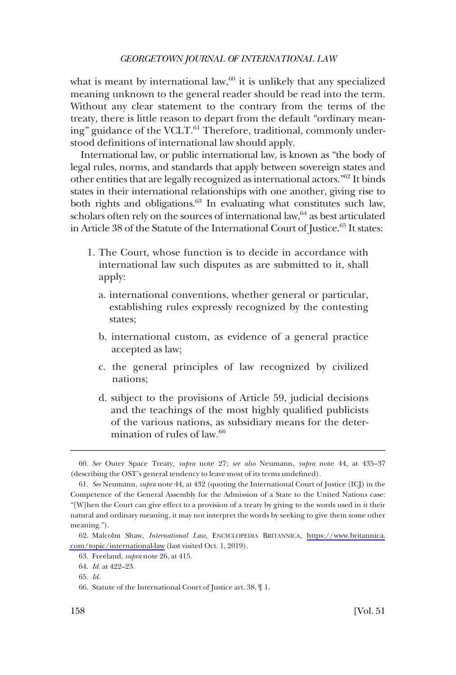what is meant by international law, $60$  it is unlikely that any specialized meaning unknown to the general reader should be read into the term. Without any clear statement to the contrary from the terms of the treaty, there is little reason to depart from the default "ordinary meaning" guidance of the VCLT.<sup>61</sup> Therefore, traditional, commonly understood defnitions of international law should apply.

International law, or public international law, is known as "the body of legal rules, norms, and standards that apply between sovereign states and other entities that are legally recognized as international actors."62 It binds states in their international relationships with one another, giving rise to both rights and obligations. $63$  In evaluating what constitutes such law, scholars often rely on the sources of international law,<sup>64</sup> as best articulated in Article 38 of the Statute of the International Court of Justice.<sup>65</sup> It states:

- 1. The Court, whose function is to decide in accordance with international law such disputes as are submitted to it, shall apply:
	- a. international conventions, whether general or particular, establishing rules expressly recognized by the contesting states;
	- b. international custom, as evidence of a general practice accepted as law;
	- c. the general principles of law recognized by civilized nations;
	- d. subject to the provisions of Article 59, judicial decisions and the teachings of the most highly qualifed publicists of the various nations, as subsidiary means for the determination of rules of law.<sup>66</sup>

<sup>60.</sup> *See* Outer Space Treaty, *supra* note 27; *see also* Neumann, *supra* note 44, at 435–37 (describing the OST's general tendency to leave most of its terms undefned).

<sup>61.</sup> *See* Neumann, *supra* note 44, at 432 (quoting the International Court of Justice (ICJ) in the Competence of the General Assembly for the Admission of a State to the United Nations case: "[W]hen the Court can give effect to a provision of a treaty by giving to the words used in it their natural and ordinary meaning, it may not interpret the words by seeking to give them some other meaning.").

<sup>62.</sup> Malcolm Shaw, *International Law*, ENCYCLOPEDIA BRITANNICA, [https://www.britannica.](https://www.britannica.com/topic/international-law) [com/topic/international-law](https://www.britannica.com/topic/international-law) (last visited Oct. 1, 2019).

<sup>63.</sup> Freeland, *supra* note 26, at 415.

<sup>64.</sup> *Id*. at 422–23.

<sup>65.</sup> *Id*.

<sup>66.</sup> Statute of the International Court of Justice art. 38, ¶ 1.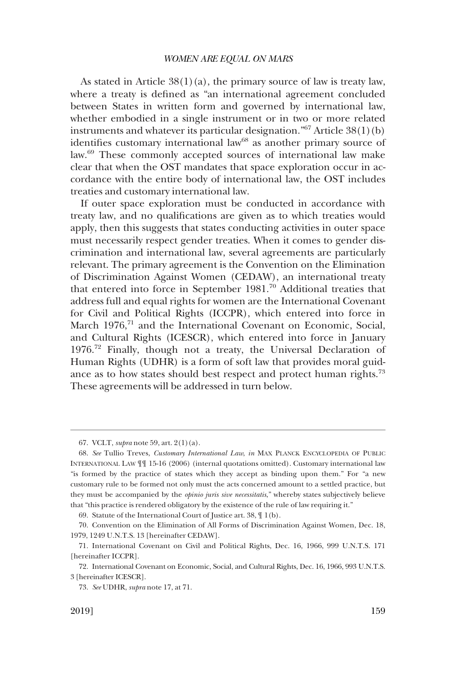As stated in Article  $38(1)(a)$ , the primary source of law is treaty law, where a treaty is defned as "an international agreement concluded between States in written form and governed by international law, whether embodied in a single instrument or in two or more related instruments and whatever its particular designation." $67$  Article  $38(1)(b)$ identifies customary international law<sup>68</sup> as another primary source of law.69 These commonly accepted sources of international law make clear that when the OST mandates that space exploration occur in accordance with the entire body of international law, the OST includes treaties and customary international law.

If outer space exploration must be conducted in accordance with treaty law, and no qualifcations are given as to which treaties would apply, then this suggests that states conducting activities in outer space must necessarily respect gender treaties. When it comes to gender discrimination and international law, several agreements are particularly relevant. The primary agreement is the Convention on the Elimination of Discrimination Against Women (CEDAW), an international treaty that entered into force in September 1981.70 Additional treaties that address full and equal rights for women are the International Covenant for Civil and Political Rights (ICCPR), which entered into force in March 1976,<sup>71</sup> and the International Covenant on Economic, Social, and Cultural Rights (ICESCR), which entered into force in January 1976.72 Finally, though not a treaty, the Universal Declaration of Human Rights (UDHR) is a form of soft law that provides moral guidance as to how states should best respect and protect human rights.<sup>73</sup> These agreements will be addressed in turn below.

69. Statute of the International Court of Justice art. 38, ¶ 1(b).

<sup>67.</sup> VCLT, *supra* note 59, art. 2(1)(a).

<sup>68.</sup> *See* Tullio Treves, *Customary International Law*, *in* MAX PLANCK ENCYCLOPEDIA OF PUBLIC INTERNATIONAL LAW ¶¶ 15-16 (2006) (internal quotations omitted). Customary international law "is formed by the practice of states which they accept as binding upon them." For "a new customary rule to be formed not only must the acts concerned amount to a settled practice, but they must be accompanied by the *opinio juris sive necessitatis*," whereby states subjectively believe that "this practice is rendered obligatory by the existence of the rule of law requiring it."

<sup>70.</sup> Convention on the Elimination of All Forms of Discrimination Against Women, Dec. 18, 1979, 1249 U.N.T.S. 13 [hereinafter CEDAW].

<sup>71.</sup> International Covenant on Civil and Political Rights, Dec. 16, 1966, 999 U.N.T.S. 171 [hereinafter ICCPR].

<sup>72.</sup> International Covenant on Economic, Social, and Cultural Rights, Dec. 16, 1966, 993 U.N.T.S. 3 [hereinafter ICESCR].

<sup>73.</sup> *See* UDHR, *supra* note 17, at 71.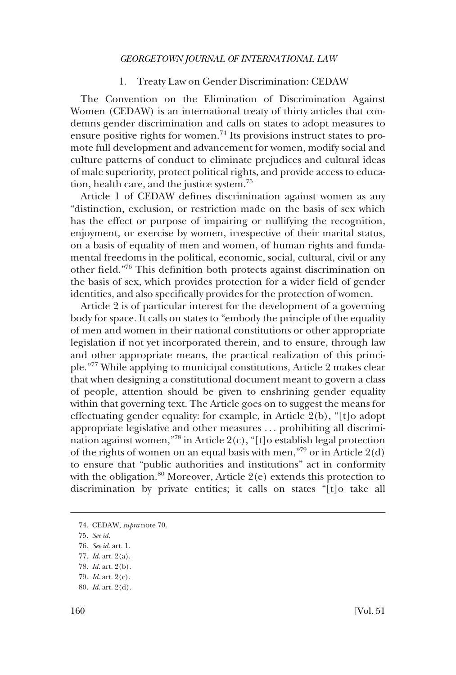### 1. Treaty Law on Gender Discrimination: CEDAW

<span id="page-13-0"></span>The Convention on the Elimination of Discrimination Against Women (CEDAW) is an international treaty of thirty articles that condemns gender discrimination and calls on states to adopt measures to ensure positive rights for women.74 Its provisions instruct states to promote full development and advancement for women, modify social and culture patterns of conduct to eliminate prejudices and cultural ideas of male superiority, protect political rights, and provide access to education, health care, and the justice system.75

Article 1 of CEDAW defnes discrimination against women as any "distinction, exclusion, or restriction made on the basis of sex which has the effect or purpose of impairing or nullifying the recognition, enjoyment, or exercise by women, irrespective of their marital status, on a basis of equality of men and women, of human rights and fundamental freedoms in the political, economic, social, cultural, civil or any other feld."76 This defnition both protects against discrimination on the basis of sex, which provides protection for a wider feld of gender identities, and also specifcally provides for the protection of women.

Article 2 is of particular interest for the development of a governing body for space. It calls on states to "embody the principle of the equality of men and women in their national constitutions or other appropriate legislation if not yet incorporated therein, and to ensure, through law and other appropriate means, the practical realization of this principle."77 While applying to municipal constitutions, Article 2 makes clear that when designing a constitutional document meant to govern a class of people, attention should be given to enshrining gender equality within that governing text. The Article goes on to suggest the means for effectuating gender equality: for example, in Article 2(b), "[t]o adopt appropriate legislative and other measures . . . prohibiting all discrimination against women,"78 in Article 2(c), "[t]o establish legal protection of the rights of women on an equal basis with men,"<sup>79</sup> or in Article 2(d) to ensure that "public authorities and institutions" act in conformity with the obligation.<sup>80</sup> Moreover, Article  $2(e)$  extends this protection to discrimination by private entities; it calls on states "[t]o take all

<sup>74.</sup> CEDAW, *supra* note 70.

<sup>75.</sup> *See id*.

<sup>76.</sup> *See id*. art. 1.

<sup>77.</sup> *Id*. art. 2(a).

<sup>78.</sup> *Id*. art. 2(b).

<sup>79.</sup> *Id*. art. 2(c).

<sup>80.</sup> *Id*. art. 2(d).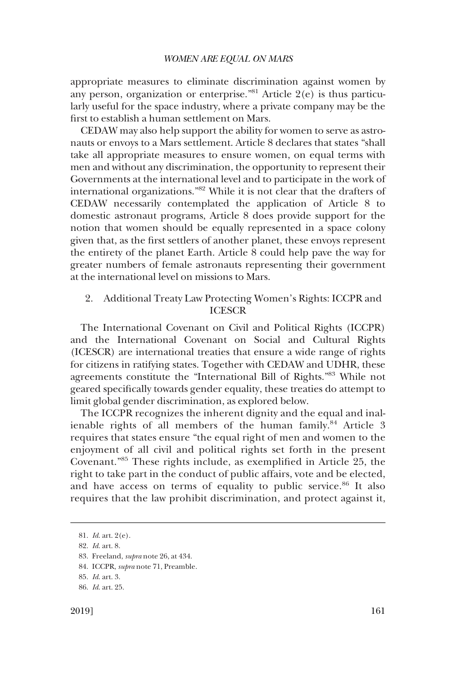<span id="page-14-0"></span>appropriate measures to eliminate discrimination against women by any person, organization or enterprise."81 Article 2(e) is thus particularly useful for the space industry, where a private company may be the frst to establish a human settlement on Mars.

CEDAW may also help support the ability for women to serve as astronauts or envoys to a Mars settlement. Article 8 declares that states "shall take all appropriate measures to ensure women, on equal terms with men and without any discrimination, the opportunity to represent their Governments at the international level and to participate in the work of international organizations."82 While it is not clear that the drafters of CEDAW necessarily contemplated the application of Article 8 to domestic astronaut programs, Article 8 does provide support for the notion that women should be equally represented in a space colony given that, as the frst settlers of another planet, these envoys represent the entirety of the planet Earth. Article 8 could help pave the way for greater numbers of female astronauts representing their government at the international level on missions to Mars.

# 2. Additional Treaty Law Protecting Women's Rights: ICCPR and ICESCR

The International Covenant on Civil and Political Rights (ICCPR) and the International Covenant on Social and Cultural Rights (ICESCR) are international treaties that ensure a wide range of rights for citizens in ratifying states. Together with CEDAW and UDHR, these agreements constitute the "International Bill of Rights."83 While not geared specifcally towards gender equality, these treaties do attempt to limit global gender discrimination, as explored below.

The ICCPR recognizes the inherent dignity and the equal and inalienable rights of all members of the human family.<sup>84</sup> Article 3 requires that states ensure "the equal right of men and women to the enjoyment of all civil and political rights set forth in the present Covenant."85 These rights include, as exemplifed in Article 25, the right to take part in the conduct of public affairs, vote and be elected, and have access on terms of equality to public service.<sup>86</sup> It also requires that the law prohibit discrimination, and protect against it,

<sup>81.</sup> *Id*. art. 2(e).

<sup>82.</sup> *Id*. art. 8.

<sup>83.</sup> Freeland, *supra* note 26, at 434.

<sup>84.</sup> ICCPR, *supra* note 71, Preamble.

<sup>85.</sup> *Id*. art. 3.

<sup>86.</sup> *Id*. art. 25.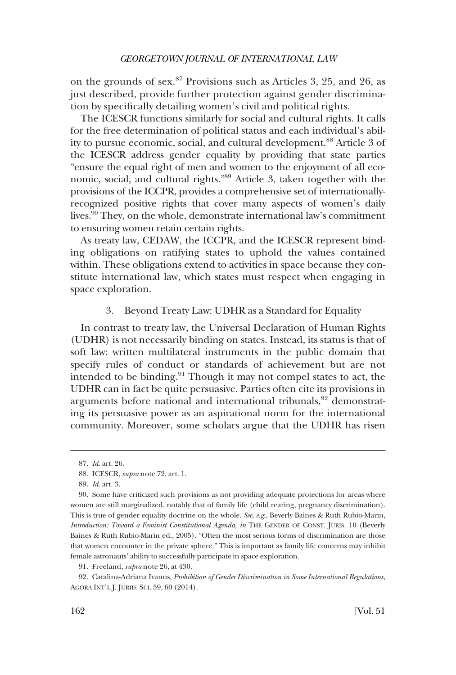<span id="page-15-0"></span>on the grounds of sex. $87$  Provisions such as Articles 3, 25, and 26, as just described, provide further protection against gender discrimination by specifcally detailing women's civil and political rights.

The ICESCR functions similarly for social and cultural rights. It calls for the free determination of political status and each individual's ability to pursue economic, social, and cultural development.<sup>88</sup> Article 3 of the ICESCR address gender equality by providing that state parties "ensure the equal right of men and women to the enjoyment of all economic, social, and cultural rights."89 Article 3, taken together with the provisions of the ICCPR, provides a comprehensive set of internationallyrecognized positive rights that cover many aspects of women's daily lives.90 They, on the whole, demonstrate international law's commitment to ensuring women retain certain rights.

As treaty law, CEDAW, the ICCPR, and the ICESCR represent binding obligations on ratifying states to uphold the values contained within. These obligations extend to activities in space because they constitute international law, which states must respect when engaging in space exploration.

#### 3. Beyond Treaty Law: UDHR as a Standard for Equality

In contrast to treaty law, the Universal Declaration of Human Rights (UDHR) is not necessarily binding on states. Instead, its status is that of soft law: written multilateral instruments in the public domain that specify rules of conduct or standards of achievement but are not intended to be binding. $91$  Though it may not compel states to act, the UDHR can in fact be quite persuasive. Parties often cite its provisions in arguments before national and international tribunals, $92$  demonstrating its persuasive power as an aspirational norm for the international community. Moreover, some scholars argue that the UDHR has risen

<sup>87.</sup> *Id*. art. 26.

<sup>88.</sup> ICESCR, *supra* note 72, art. 1.

<sup>89.</sup> *Id*. art. 3.

<sup>90.</sup> Some have criticized such provisions as not providing adequate protections for areas where women are still marginalized, notably that of family life (child rearing, pregnancy discrimination). This is true of gender equality doctrine on the whole. *See, e.g*., Beverly Baines & Ruth Rubio-Marin, *Introduction: Toward a Feminist Constitutional Agenda, in* THE GENDER OF CONST. JURIS. 10 (Beverly Baines & Ruth Rubio-Marin ed., 2005). "Often the most serious forms of discrimination are those that women encounter in the private sphere." This is important as family life concerns may inhibit female astronauts' ability to successfully participate in space exploration.

<sup>91.</sup> Freeland, *supra* note 26, at 430.

<sup>92.</sup> Catalina-Adriana Ivanus, *Prohibition of Gender Discrimination in Some International Regulations*, AGORA INT'L J. JURID. SCI. 59, 60 (2014).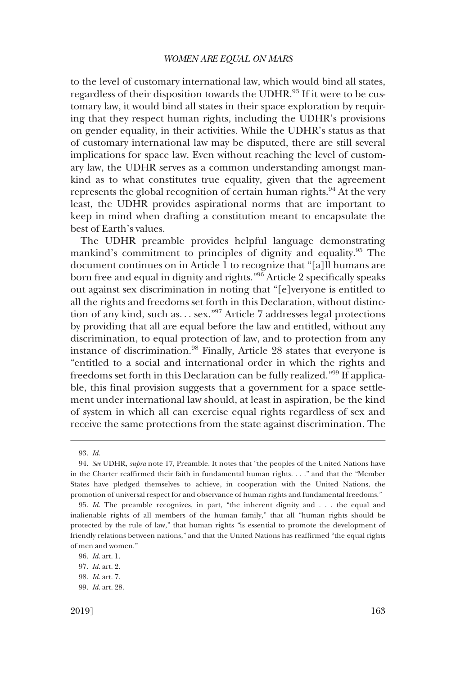to the level of customary international law, which would bind all states, regardless of their disposition towards the UDHR.<sup>93</sup> If it were to be customary law, it would bind all states in their space exploration by requiring that they respect human rights, including the UDHR's provisions on gender equality, in their activities. While the UDHR's status as that of customary international law may be disputed, there are still several implications for space law. Even without reaching the level of customary law, the UDHR serves as a common understanding amongst mankind as to what constitutes true equality, given that the agreement represents the global recognition of certain human rights.<sup>94</sup> At the very least, the UDHR provides aspirational norms that are important to keep in mind when drafting a constitution meant to encapsulate the best of Earth's values.

The UDHR preamble provides helpful language demonstrating mankind's commitment to principles of dignity and equality.95 The document continues on in Article 1 to recognize that "[a]ll humans are born free and equal in dignity and rights."<sup>96</sup> Article 2 specifically speaks out against sex discrimination in noting that "[e]veryone is entitled to all the rights and freedoms set forth in this Declaration, without distinction of any kind, such as... sex."<sup>97</sup> Article 7 addresses legal protections by providing that all are equal before the law and entitled, without any discrimination, to equal protection of law, and to protection from any instance of discrimination.98 Finally, Article 28 states that everyone is "entitled to a social and international order in which the rights and freedoms set forth in this Declaration can be fully realized."99 If applicable, this fnal provision suggests that a government for a space settlement under international law should, at least in aspiration, be the kind of system in which all can exercise equal rights regardless of sex and receive the same protections from the state against discrimination. The

<sup>93.</sup> *Id*.

<sup>94.</sup> *See* UDHR, *supra* note 17, Preamble. It notes that "the peoples of the United Nations have in the Charter reaffrmed their faith in fundamental human rights. . . ." and that the "Member States have pledged themselves to achieve, in cooperation with the United Nations, the promotion of universal respect for and observance of human rights and fundamental freedoms."

<sup>95.</sup> *Id*. The preamble recognizes, in part, "the inherent dignity and . . . the equal and inalienable rights of all members of the human family," that all "human rights should be protected by the rule of law," that human rights "is essential to promote the development of friendly relations between nations," and that the United Nations has reaffrmed "the equal rights of men and women."

<sup>96.</sup> *Id*. art. 1.

<sup>97.</sup> *Id*. art. 2.

<sup>98.</sup> *Id*. art. 7.

<sup>99.</sup> *Id*. art. 28.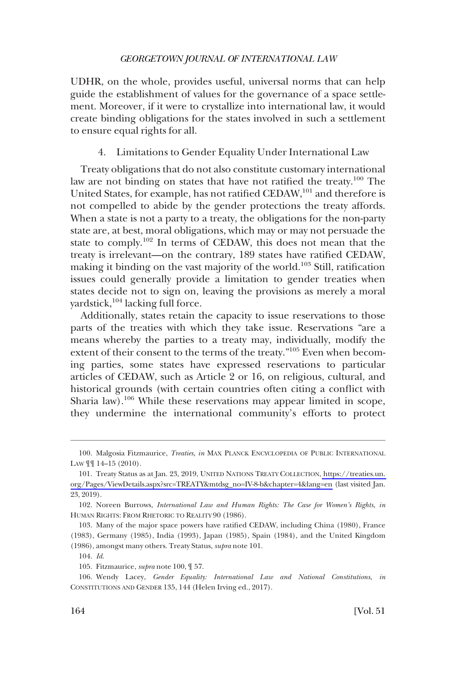<span id="page-17-0"></span>UDHR, on the whole, provides useful, universal norms that can help guide the establishment of values for the governance of a space settlement. Moreover, if it were to crystallize into international law, it would create binding obligations for the states involved in such a settlement to ensure equal rights for all.

4. Limitations to Gender Equality Under International Law

Treaty obligations that do not also constitute customary international law are not binding on states that have not ratified the treaty.<sup>100</sup> The United States, for example, has not ratified CEDAW,<sup>101</sup> and therefore is not compelled to abide by the gender protections the treaty affords. When a state is not a party to a treaty, the obligations for the non-party state are, at best, moral obligations, which may or may not persuade the state to comply.102 In terms of CEDAW, this does not mean that the treaty is irrelevant—on the contrary, 189 states have ratifed CEDAW, making it binding on the vast majority of the world.<sup>103</sup> Still, ratification issues could generally provide a limitation to gender treaties when states decide not to sign on, leaving the provisions as merely a moral yardstick,<sup>104</sup> lacking full force.

Additionally, states retain the capacity to issue reservations to those parts of the treaties with which they take issue. Reservations "are a means whereby the parties to a treaty may, individually, modify the extent of their consent to the terms of the treaty."105 Even when becoming parties, some states have expressed reservations to particular articles of CEDAW, such as Article 2 or 16, on religious, cultural, and historical grounds (with certain countries often citing a confict with Sharia law).<sup>106</sup> While these reservations may appear limited in scope, they undermine the international community's efforts to protect

<sup>100.</sup> Malgosia Fitzmaurice, *Treaties*, *in* MAX PLANCK ENCYCLOPEDIA OF PUBLIC INTERNATIONAL LAW  $\P\P$  14–15 (2010).

<sup>101.</sup> Treaty Status as at Jan. 23, 2019, UNITED NATIONS TREATY COLLECTION, https://treaties.un. [org/Pages/ViewDetails.aspx?src=TREATY&mtdsg\\_no=IV-8-b&chapter=4&lang=en](https://treaties.un.org/Pages/ViewDetails.aspx?src=TREATY&mtdsg_no=IV-8-b&chapter=4&lang=en) (last visited Jan. 23, 2019).

<sup>102.</sup> Noreen Burrows, *International Law and Human Rights: The Case for Women's Rights, in*  HUMAN RIGHTS: FROM RHETORIC TO REALITY 90 (1986).

<sup>103.</sup> Many of the major space powers have ratifed CEDAW, including China (1980), France (1983), Germany (1985), India (1993), Japan (1985), Spain (1984), and the United Kingdom (1986), amongst many others. Treaty Status, *supra* note 101.

<sup>104.</sup> *Id*.

<sup>105.</sup> Fitzmaurice, *supra* note 100, ¶ 57.

<sup>106.</sup> Wendy Lacey, *Gender Equality: International Law and National Constitutions*, *in*  CONSTITUTIONS AND GENDER 135, 144 (Helen Irving ed., 2017).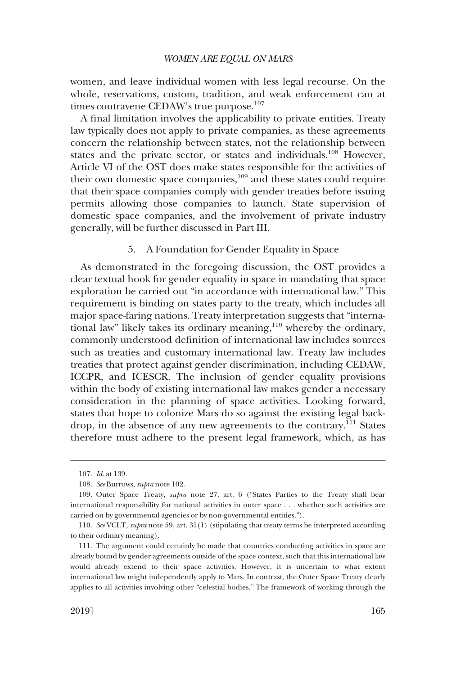<span id="page-18-0"></span>women, and leave individual women with less legal recourse. On the whole, reservations, custom, tradition, and weak enforcement can at times contravene CEDAW's true purpose.<sup>107</sup>

A fnal limitation involves the applicability to private entities. Treaty law typically does not apply to private companies, as these agreements concern the relationship between states, not the relationship between states and the private sector, or states and individuals.<sup>108</sup> However, Article VI of the OST does make states responsible for the activities of their own domestic space companies,<sup>109</sup> and these states could require that their space companies comply with gender treaties before issuing permits allowing those companies to launch. State supervision of domestic space companies, and the involvement of private industry generally, will be further discussed in Part III.

# 5. A Foundation for Gender Equality in Space

As demonstrated in the foregoing discussion, the OST provides a clear textual hook for gender equality in space in mandating that space exploration be carried out "in accordance with international law." This requirement is binding on states party to the treaty, which includes all major space-faring nations. Treaty interpretation suggests that "international law" likely takes its ordinary meaning,110 whereby the ordinary, commonly understood defnition of international law includes sources such as treaties and customary international law. Treaty law includes treaties that protect against gender discrimination, including CEDAW, ICCPR, and ICESCR. The inclusion of gender equality provisions within the body of existing international law makes gender a necessary consideration in the planning of space activities. Looking forward, states that hope to colonize Mars do so against the existing legal backdrop, in the absence of any new agreements to the contrary.<sup>111</sup> States therefore must adhere to the present legal framework, which, as has

<sup>107.</sup> *Id*. at 139.

<sup>108.</sup> *See* Burrows, *supra* note 102.

<sup>109.</sup> Outer Space Treaty, *supra* note 27, art. 6 ("States Parties to the Treaty shall bear international responsibility for national activities in outer space . . . whether such activities are carried on by governmental agencies or by non-governmental entities.").

<sup>110.</sup> *See* VCLT, *supra* note 59, art. 31(1) (stipulating that treaty terms be interpreted according to their ordinary meaning).

<sup>111.</sup> The argument could certainly be made that countries conducting activities in space are already bound by gender agreements outside of the space context, such that this international law would already extend to their space activities. However, it is uncertain to what extent international law might independently apply to Mars. In contrast, the Outer Space Treaty clearly applies to all activities involving other "celestial bodies." The framework of working through the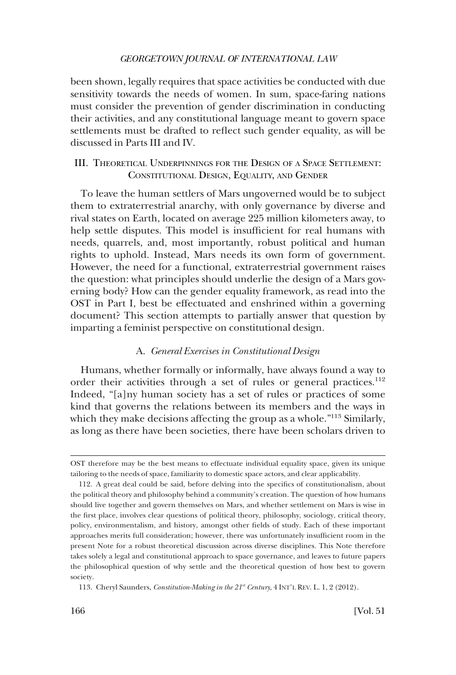<span id="page-19-0"></span>been shown, legally requires that space activities be conducted with due sensitivity towards the needs of women. In sum, space-faring nations must consider the prevention of gender discrimination in conducting their activities, and any constitutional language meant to govern space settlements must be drafted to refect such gender equality, as will be discussed in Parts III and IV.

# III. THEORETICAL UNDERPINNINGS FOR THE DESIGN OF A SPACE SETTLEMENT: CONSTITUTIONAL DESIGN, EQUALITY, AND GENDER

To leave the human settlers of Mars ungoverned would be to subject them to extraterrestrial anarchy, with only governance by diverse and rival states on Earth, located on average 225 million kilometers away, to help settle disputes. This model is insufficient for real humans with needs, quarrels, and, most importantly, robust political and human rights to uphold. Instead, Mars needs its own form of government. However, the need for a functional, extraterrestrial government raises the question: what principles should underlie the design of a Mars governing body? How can the gender equality framework, as read into the OST in Part I, best be effectuated and enshrined within a governing document? This section attempts to partially answer that question by imparting a feminist perspective on constitutional design.

#### A. *General Exercises in Constitutional Design*

Humans, whether formally or informally, have always found a way to order their activities through a set of rules or general practices.<sup>112</sup> Indeed, "[a]ny human society has a set of rules or practices of some kind that governs the relations between its members and the ways in which they make decisions affecting the group as a whole.<sup>"113</sup> Similarly, as long as there have been societies, there have been scholars driven to

OST therefore may be the best means to effectuate individual equality space, given its unique tailoring to the needs of space, familiarity to domestic space actors, and clear applicability.

<sup>112.</sup> A great deal could be said, before delving into the specifcs of constitutionalism, about the political theory and philosophy behind a community's creation. The question of how humans should live together and govern themselves on Mars, and whether settlement on Mars is wise in the frst place, involves clear questions of political theory, philosophy, sociology, critical theory, policy, environmentalism, and history, amongst other felds of study. Each of these important approaches merits full consideration; however, there was unfortunately insuffcient room in the present Note for a robust theoretical discussion across diverse disciplines. This Note therefore takes solely a legal and constitutional approach to space governance, and leaves to future papers the philosophical question of why settle and the theoretical question of how best to govern society.

<sup>113.</sup> Cheryl Saunders, *Constitution-Making in the 21st Century*, 4 INT'L REV. L. 1, 2 (2012).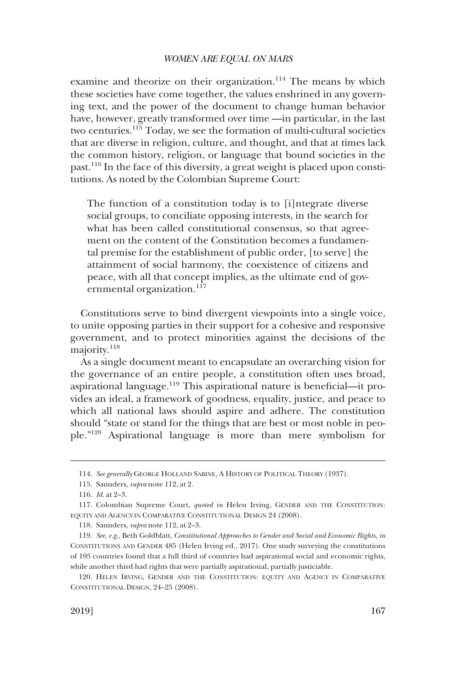examine and theorize on their organization.<sup>114</sup> The means by which these societies have come together, the values enshrined in any governing text, and the power of the document to change human behavior have, however, greatly transformed over time —in particular, in the last two centuries.115 Today, we see the formation of multi-cultural societies that are diverse in religion, culture, and thought, and that at times lack the common history, religion, or language that bound societies in the past.116 In the face of this diversity, a great weight is placed upon constitutions. As noted by the Colombian Supreme Court:

The function of a constitution today is to [i]ntegrate diverse social groups, to conciliate opposing interests, in the search for what has been called constitutional consensus, so that agreement on the content of the Constitution becomes a fundamental premise for the establishment of public order, [to serve] the attainment of social harmony, the coexistence of citizens and peace, with all that concept implies, as the ultimate end of governmental organization.<sup>117</sup>

Constitutions serve to bind divergent viewpoints into a single voice, to unite opposing parties in their support for a cohesive and responsive government, and to protect minorities against the decisions of the majority.<sup>118</sup>

As a single document meant to encapsulate an overarching vision for the governance of an entire people, a constitution often uses broad, aspirational language.119 This aspirational nature is benefcial—it provides an ideal, a framework of goodness, equality, justice, and peace to which all national laws should aspire and adhere. The constitution should "state or stand for the things that are best or most noble in people."120 Aspirational language is more than mere symbolism for

<sup>114.</sup> *See generally* GEORGE HOLLAND SABINE, A HISTORY OF POLITICAL THEORY (1937).

<sup>115.</sup> Saunders, *supra* note 112, at 2.

<sup>116.</sup> *Id*. at 2–3.

<sup>117.</sup> Colombian Supreme Court, *quoted in* Helen Irving, GENDER AND THE CONSTITUTION: EQUITY AND AGENCY IN COMPARATIVE CONSTITUTIONAL DESIGN 24 (2008).

<sup>118.</sup> Saunders, *supra* note 112, at 2–3.

<sup>119.</sup> *See, e.g*., Beth Goldblatt, *Constitutional Approaches to Gender and Social and Economic Rights*, *in*  CONSTITUTIONS AND GENDER 485 (Helen Irving ed., 2017). One study surveying the constitutions of 195 countries found that a full third of countries had aspirational social and economic rights, while another third had rights that were partially aspirational, partially justiciable.

<sup>120.</sup> HELEN IRVING, GENDER AND THE CONSTITUTION: EQUITY AND AGENCY IN COMPARATIVE CONSTITUTIONAL DESIGN, 24–25 (2008).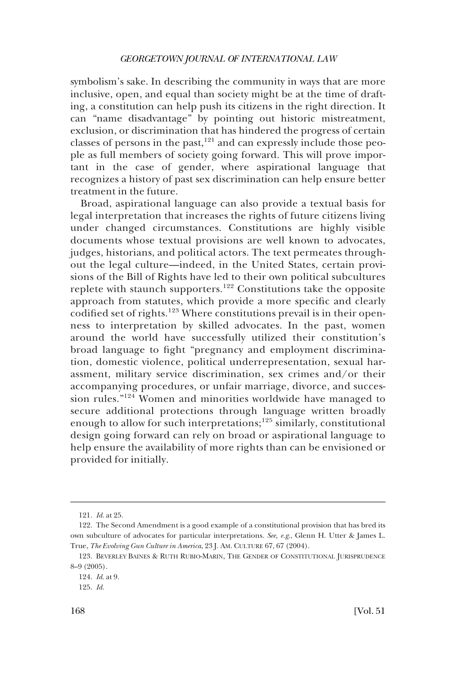symbolism's sake. In describing the community in ways that are more inclusive, open, and equal than society might be at the time of drafting, a constitution can help push its citizens in the right direction. It can "name disadvantage" by pointing out historic mistreatment, exclusion, or discrimination that has hindered the progress of certain classes of persons in the past,<sup>121</sup> and can expressly include those people as full members of society going forward. This will prove important in the case of gender, where aspirational language that recognizes a history of past sex discrimination can help ensure better treatment in the future.

Broad, aspirational language can also provide a textual basis for legal interpretation that increases the rights of future citizens living under changed circumstances. Constitutions are highly visible documents whose textual provisions are well known to advocates, judges, historians, and political actors. The text permeates throughout the legal culture—indeed, in the United States, certain provisions of the Bill of Rights have led to their own political subcultures replete with staunch supporters.122 Constitutions take the opposite approach from statutes, which provide a more specifc and clearly codified set of rights.<sup>123</sup> Where constitutions prevail is in their openness to interpretation by skilled advocates. In the past, women around the world have successfully utilized their constitution's broad language to fght "pregnancy and employment discrimination, domestic violence, political underrepresentation, sexual harassment, military service discrimination, sex crimes and/or their accompanying procedures, or unfair marriage, divorce, and succession rules."124 Women and minorities worldwide have managed to secure additional protections through language written broadly enough to allow for such interpretations;<sup>125</sup> similarly, constitutional design going forward can rely on broad or aspirational language to help ensure the availability of more rights than can be envisioned or provided for initially.

<sup>121.</sup> *Id*. at 25.

<sup>122.</sup> The Second Amendment is a good example of a constitutional provision that has bred its own subculture of advocates for particular interpretations. *See, e.g*., Glenn H. Utter & James L. True, *The Evolving Gun Culture in America*, 23 J. AM. CULTURE 67, 67 (2004).

<sup>123.</sup> BEVERLEY BAINES & RUTH RUBIO-MARIN, THE GENDER OF CONSTITUTIONAL JURISPRUDENCE 8–9 (2005).

<sup>124.</sup> *Id*. at 9.

<sup>125.</sup> *Id*.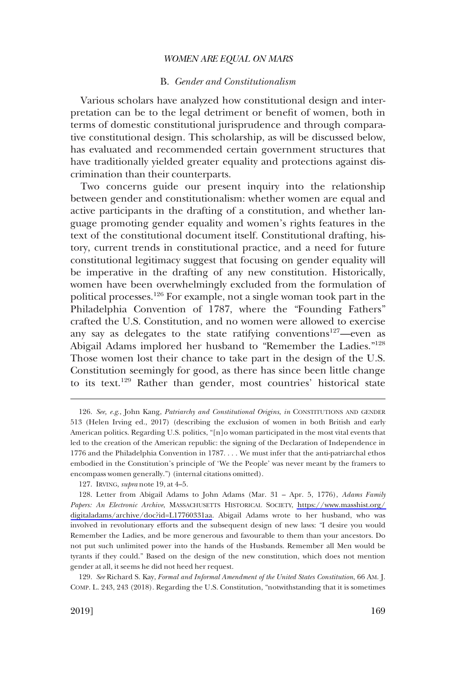### B. *Gender and Constitutionalism*

<span id="page-22-0"></span>Various scholars have analyzed how constitutional design and interpretation can be to the legal detriment or beneft of women, both in terms of domestic constitutional jurisprudence and through comparative constitutional design. This scholarship, as will be discussed below, has evaluated and recommended certain government structures that have traditionally yielded greater equality and protections against discrimination than their counterparts.

Two concerns guide our present inquiry into the relationship between gender and constitutionalism: whether women are equal and active participants in the drafting of a constitution, and whether language promoting gender equality and women's rights features in the text of the constitutional document itself. Constitutional drafting, history, current trends in constitutional practice, and a need for future constitutional legitimacy suggest that focusing on gender equality will be imperative in the drafting of any new constitution. Historically, women have been overwhelmingly excluded from the formulation of political processes.126 For example, not a single woman took part in the Philadelphia Convention of 1787, where the "Founding Fathers" crafted the U.S. Constitution, and no women were allowed to exercise any say as delegates to the state ratifying conventions<sup>127</sup>—even as Abigail Adams implored her husband to "Remember the Ladies."128 Those women lost their chance to take part in the design of the U.S. Constitution seemingly for good, as there has since been little change to its text.129 Rather than gender, most countries' historical state

129. *See* Richard S. Kay, *Formal and Informal Amendment of the United States Constitution*, 66 AM. J. COMP. L. 243, 243 (2018). Regarding the U.S. Constitution, "notwithstanding that it is sometimes

<sup>126.</sup> *See, e.g*., John Kang, *Patriarchy and Constitutional Origins*, *in* CONSTITUTIONS AND GENDER 513 (Helen Irving ed., 2017) (describing the exclusion of women in both British and early American politics. Regarding U.S. politics, "[n]o woman participated in the most vital events that led to the creation of the American republic: the signing of the Declaration of Independence in 1776 and the Philadelphia Convention in 1787. . . . We must infer that the anti-patriarchal ethos embodied in the Constitution's principle of 'We the People' was never meant by the framers to encompass women generally.") (internal citations omitted).

<sup>127.</sup> IRVING, *supra* note 19, at 4–5.

Letter from Abigail Adams to John Adams (Mar. 31 – Apr. 5, 1776), *Adams Family*  128. *Papers: An Electronic Archive*, MASSACHUSETTS HISTORICAL SOCIETY, [https://www.masshist.org/](https://www.masshist.org/digitaladams/archive/doc?id=L17760331aa)  [digitaladams/archive/doc?id=L17760331aa](https://www.masshist.org/digitaladams/archive/doc?id=L17760331aa). Abigail Adams wrote to her husband, who was involved in revolutionary efforts and the subsequent design of new laws: "I desire you would Remember the Ladies, and be more generous and favourable to them than your ancestors. Do not put such unlimited power into the hands of the Husbands. Remember all Men would be tyrants if they could." Based on the design of the new constitution, which does not mention gender at all, it seems he did not heed her request.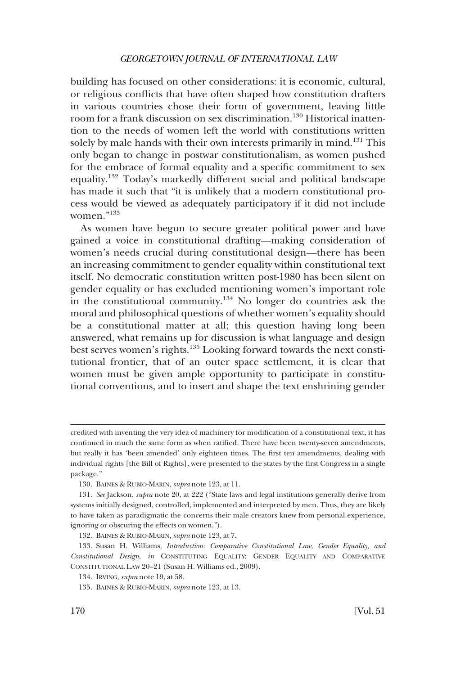building has focused on other considerations: it is economic, cultural, or religious conficts that have often shaped how constitution drafters in various countries chose their form of government, leaving little room for a frank discussion on sex discrimination.<sup>130</sup> Historical inattention to the needs of women left the world with constitutions written solely by male hands with their own interests primarily in mind.<sup>131</sup> This only began to change in postwar constitutionalism, as women pushed for the embrace of formal equality and a specifc commitment to sex equality.132 Today's markedly different social and political landscape has made it such that "it is unlikely that a modern constitutional process would be viewed as adequately participatory if it did not include women."133

As women have begun to secure greater political power and have gained a voice in constitutional drafting—making consideration of women's needs crucial during constitutional design—there has been an increasing commitment to gender equality within constitutional text itself. No democratic constitution written post-1980 has been silent on gender equality or has excluded mentioning women's important role in the constitutional community.<sup>134</sup> No longer do countries ask the moral and philosophical questions of whether women's equality should be a constitutional matter at all; this question having long been answered, what remains up for discussion is what language and design best serves women's rights.<sup>135</sup> Looking forward towards the next constitutional frontier, that of an outer space settlement, it is clear that women must be given ample opportunity to participate in constitutional conventions, and to insert and shape the text enshrining gender

credited with inventing the very idea of machinery for modifcation of a constitutional text, it has continued in much the same form as when ratifed. There have been twenty-seven amendments, but really it has 'been amended' only eighteen times. The frst ten amendments, dealing with individual rights [the Bill of Rights], were presented to the states by the frst Congress in a single package."

<sup>130.</sup> BAINES & RUBIO-MARIN, *supra* note 123, at 11.

<sup>131.</sup> *See* Jackson, *supra* note 20, at 222 ("State laws and legal institutions generally derive from systems initially designed, controlled, implemented and interpreted by men. Thus, they are likely to have taken as paradigmatic the concerns their male creators knew from personal experience, ignoring or obscuring the effects on women.").

<sup>132.</sup> BAINES & RUBIO-MARIN, *supra* note 123, at 7.

<sup>133.</sup> Susan H. Williams, *Introduction: Comparative Constitutional Law, Gender Equality, and Constitutional Design*, *in* CONSTITUTING EQUALITY: GENDER EQUALITY AND COMPARATIVE CONSTITUTIONAL LAW 20–21 (Susan H. Williams ed., 2009).

<sup>134.</sup> IRVING, *supra* note 19, at 58.

<sup>135.</sup> BAINES & RUBIO-MARIN, *supra* note 123, at 13.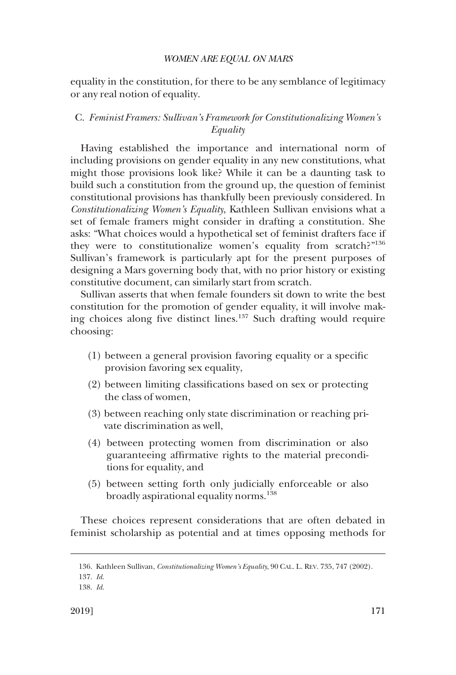<span id="page-24-0"></span>equality in the constitution, for there to be any semblance of legitimacy or any real notion of equality.

# C. *Feminist Framers: Sullivan's Framework for Constitutionalizing Women's Equality*

Having established the importance and international norm of including provisions on gender equality in any new constitutions, what might those provisions look like? While it can be a daunting task to build such a constitution from the ground up, the question of feminist constitutional provisions has thankfully been previously considered. In *Constitutionalizing Women's Equality*, Kathleen Sullivan envisions what a set of female framers might consider in drafting a constitution. She asks: "What choices would a hypothetical set of feminist drafters face if they were to constitutionalize women's equality from scratch?"<sup>136</sup> Sullivan's framework is particularly apt for the present purposes of designing a Mars governing body that, with no prior history or existing constitutive document, can similarly start from scratch.

Sullivan asserts that when female founders sit down to write the best constitution for the promotion of gender equality, it will involve making choices along fve distinct lines.137 Such drafting would require choosing:

- (1) between a general provision favoring equality or a specifc provision favoring sex equality,
- (2) between limiting classifcations based on sex or protecting the class of women,
- (3) between reaching only state discrimination or reaching private discrimination as well,
- (4) between protecting women from discrimination or also guaranteeing affrmative rights to the material preconditions for equality, and
- (5) between setting forth only judicially enforceable or also broadly aspirational equality norms.<sup>138</sup>

These choices represent considerations that are often debated in feminist scholarship as potential and at times opposing methods for

<sup>136.</sup> Kathleen Sullivan, *Constitutionalizing Women's Equality*, 90 CAL. L. REV. 735, 747 (2002).

<sup>137.</sup> *Id*.

<sup>138.</sup> *Id*.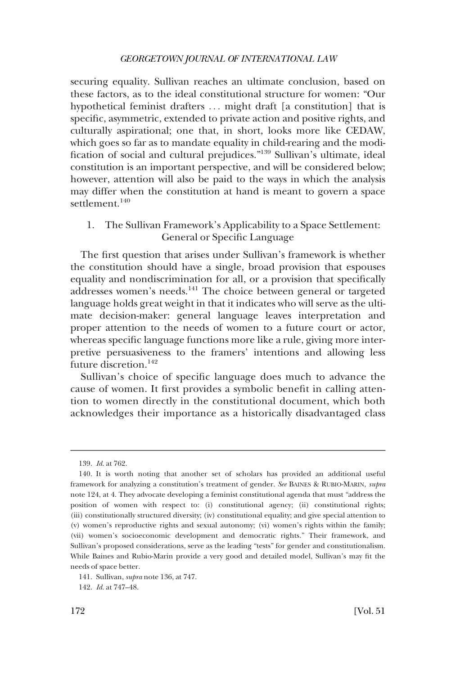<span id="page-25-0"></span>securing equality. Sullivan reaches an ultimate conclusion, based on these factors, as to the ideal constitutional structure for women: "Our hypothetical feminist drafters ... might draft [a constitution] that is specifc, asymmetric, extended to private action and positive rights, and culturally aspirational; one that, in short, looks more like CEDAW, which goes so far as to mandate equality in child-rearing and the modifcation of social and cultural prejudices."139 Sullivan's ultimate, ideal constitution is an important perspective, and will be considered below; however, attention will also be paid to the ways in which the analysis may differ when the constitution at hand is meant to govern a space settlement.<sup>140</sup>

# 1. The Sullivan Framework's Applicability to a Space Settlement: General or Specifc Language

The frst question that arises under Sullivan's framework is whether the constitution should have a single, broad provision that espouses equality and nondiscrimination for all, or a provision that specifcally addresses women's needs.141 The choice between general or targeted language holds great weight in that it indicates who will serve as the ultimate decision-maker: general language leaves interpretation and proper attention to the needs of women to a future court or actor, whereas specifc language functions more like a rule, giving more interpretive persuasiveness to the framers' intentions and allowing less future discretion.142

Sullivan's choice of specifc language does much to advance the cause of women. It frst provides a symbolic beneft in calling attention to women directly in the constitutional document, which both acknowledges their importance as a historically disadvantaged class

<sup>139.</sup> *Id*. at 762.

<sup>140.</sup> It is worth noting that another set of scholars has provided an additional useful framework for analyzing a constitution's treatment of gender. *See* BAINES & RUBIO-MARIN, *supra*  note 124, at 4. They advocate developing a feminist constitutional agenda that must "address the position of women with respect to: (i) constitutional agency; (ii) constitutional rights; (iii) constitutionally structured diversity; (iv) constitutional equality; and give special attention to (v) women's reproductive rights and sexual autonomy; (vi) women's rights within the family; (vii) women's socioeconomic development and democratic rights." Their framework, and Sullivan's proposed considerations, serve as the leading "tests" for gender and constitutionalism. While Baines and Rubio-Marin provide a very good and detailed model, Sullivan's may ft the needs of space better.

<sup>141.</sup> Sullivan, *supra* note 136, at 747.

<sup>142.</sup> *Id*. at 747–48.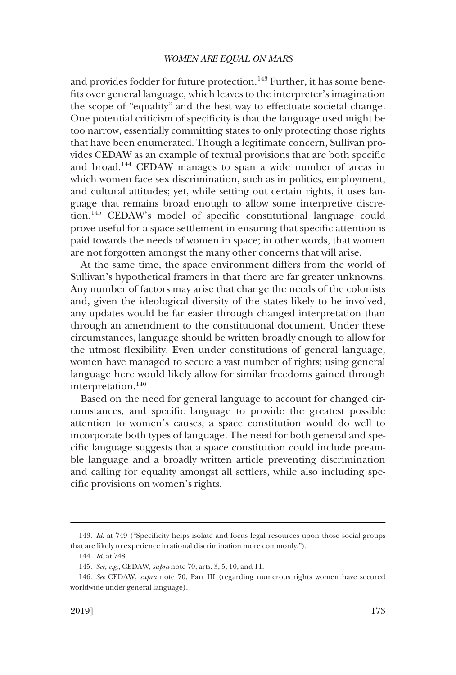and provides fodder for future protection.<sup>143</sup> Further, it has some benefts over general language, which leaves to the interpreter's imagination the scope of "equality" and the best way to effectuate societal change. One potential criticism of specifcity is that the language used might be too narrow, essentially committing states to only protecting those rights that have been enumerated. Though a legitimate concern, Sullivan provides CEDAW as an example of textual provisions that are both specifc and broad.144 CEDAW manages to span a wide number of areas in which women face sex discrimination, such as in politics, employment, and cultural attitudes; yet, while setting out certain rights, it uses language that remains broad enough to allow some interpretive discretion.145 CEDAW's model of specifc constitutional language could prove useful for a space settlement in ensuring that specifc attention is paid towards the needs of women in space; in other words, that women are not forgotten amongst the many other concerns that will arise.

At the same time, the space environment differs from the world of Sullivan's hypothetical framers in that there are far greater unknowns. Any number of factors may arise that change the needs of the colonists and, given the ideological diversity of the states likely to be involved, any updates would be far easier through changed interpretation than through an amendment to the constitutional document. Under these circumstances, language should be written broadly enough to allow for the utmost fexibility. Even under constitutions of general language, women have managed to secure a vast number of rights; using general language here would likely allow for similar freedoms gained through interpretation.<sup>146</sup>

Based on the need for general language to account for changed circumstances, and specifc language to provide the greatest possible attention to women's causes, a space constitution would do well to incorporate both types of language. The need for both general and specifc language suggests that a space constitution could include preamble language and a broadly written article preventing discrimination and calling for equality amongst all settlers, while also including specifc provisions on women's rights.

<sup>143.</sup> *Id*. at 749 ("Specifcity helps isolate and focus legal resources upon those social groups that are likely to experience irrational discrimination more commonly.").

<sup>144.</sup> *Id*. at 748.

<sup>145.</sup> *See, e.g*., CEDAW, *supra* note 70, arts. 3, 5, 10, and 11.

<sup>146.</sup> *See* CEDAW, *supra* note 70, Part III (regarding numerous rights women have secured worldwide under general language).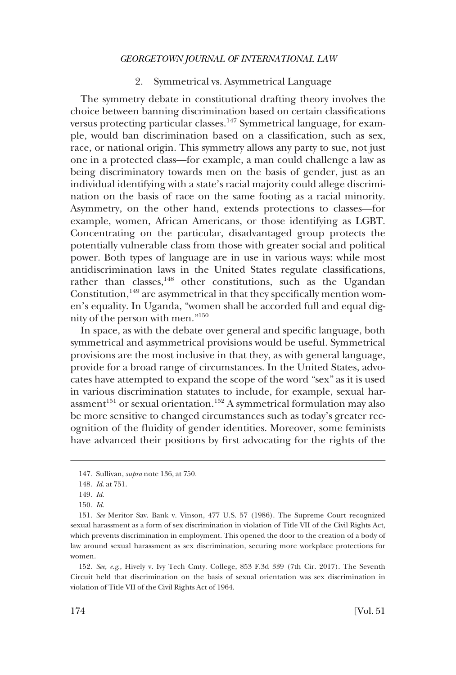### 2. Symmetrical vs. Asymmetrical Language

<span id="page-27-0"></span>The symmetry debate in constitutional drafting theory involves the choice between banning discrimination based on certain classifcations versus protecting particular classes.<sup>147</sup> Symmetrical language, for example, would ban discrimination based on a classifcation, such as sex, race, or national origin. This symmetry allows any party to sue, not just one in a protected class—for example, a man could challenge a law as being discriminatory towards men on the basis of gender, just as an individual identifying with a state's racial majority could allege discrimination on the basis of race on the same footing as a racial minority. Asymmetry, on the other hand, extends protections to classes—for example, women, African Americans, or those identifying as LGBT. Concentrating on the particular, disadvantaged group protects the potentially vulnerable class from those with greater social and political power. Both types of language are in use in various ways: while most antidiscrimination laws in the United States regulate classifcations, rather than classes,<sup>148</sup> other constitutions, such as the Ugandan Constitution, $149$  are asymmetrical in that they specifically mention women's equality. In Uganda, "women shall be accorded full and equal dignity of the person with men."150

In space, as with the debate over general and specifc language, both symmetrical and asymmetrical provisions would be useful. Symmetrical provisions are the most inclusive in that they, as with general language, provide for a broad range of circumstances. In the United States, advocates have attempted to expand the scope of the word "sex" as it is used in various discrimination statutes to include, for example, sexual harassment<sup>151</sup> or sexual orientation.<sup>152</sup> A symmetrical formulation may also be more sensitive to changed circumstances such as today's greater recognition of the fuidity of gender identities. Moreover, some feminists have advanced their positions by frst advocating for the rights of the

152. *See, e.g*., Hively v. Ivy Tech Cmty. College, 853 F.3d 339 (7th Cir. 2017). The Seventh Circuit held that discrimination on the basis of sexual orientation was sex discrimination in violation of Title VII of the Civil Rights Act of 1964.

<sup>147.</sup> Sullivan, *supra* note 136, at 750.

<sup>148.</sup> *Id*. at 751.

<sup>149.</sup> *Id*.

<sup>150.</sup> *Id*.

<sup>151.</sup> *See* Meritor Sav. Bank v. Vinson, 477 U.S. 57 (1986). The Supreme Court recognized sexual harassment as a form of sex discrimination in violation of Title VII of the Civil Rights Act, which prevents discrimination in employment. This opened the door to the creation of a body of law around sexual harassment as sex discrimination, securing more workplace protections for women.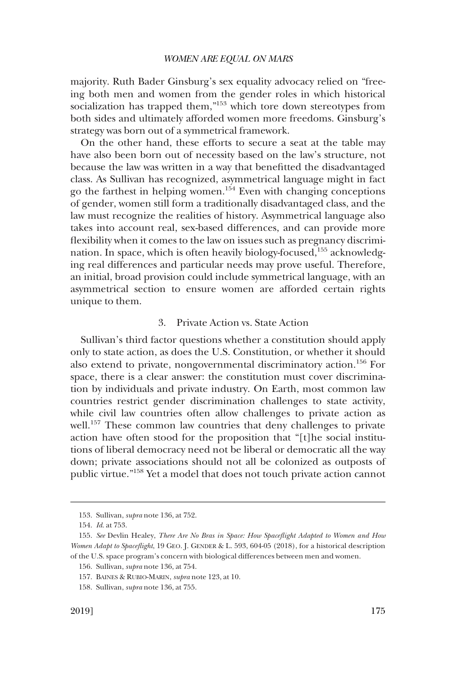<span id="page-28-0"></span>majority. Ruth Bader Ginsburg's sex equality advocacy relied on "freeing both men and women from the gender roles in which historical socialization has trapped them,"153 which tore down stereotypes from both sides and ultimately afforded women more freedoms. Ginsburg's strategy was born out of a symmetrical framework.

On the other hand, these efforts to secure a seat at the table may have also been born out of necessity based on the law's structure, not because the law was written in a way that beneftted the disadvantaged class. As Sullivan has recognized, asymmetrical language might in fact go the farthest in helping women.<sup>154</sup> Even with changing conceptions of gender, women still form a traditionally disadvantaged class, and the law must recognize the realities of history. Asymmetrical language also takes into account real, sex-based differences, and can provide more fexibility when it comes to the law on issues such as pregnancy discrimination. In space, which is often heavily biology-focused,<sup>155</sup> acknowledging real differences and particular needs may prove useful. Therefore, an initial, broad provision could include symmetrical language, with an asymmetrical section to ensure women are afforded certain rights unique to them.

### 3. Private Action vs. State Action

Sullivan's third factor questions whether a constitution should apply only to state action, as does the U.S. Constitution, or whether it should also extend to private, nongovernmental discriminatory action.156 For space, there is a clear answer: the constitution must cover discrimination by individuals and private industry. On Earth, most common law countries restrict gender discrimination challenges to state activity, while civil law countries often allow challenges to private action as well.<sup>157</sup> These common law countries that deny challenges to private action have often stood for the proposition that "[t]he social institutions of liberal democracy need not be liberal or democratic all the way down; private associations should not all be colonized as outposts of public virtue."158 Yet a model that does not touch private action cannot

<sup>153.</sup> Sullivan, *supra* note 136, at 752.

<sup>154.</sup> *Id*. at 753.

<sup>155.</sup> *See* Devlin Healey, *There Are No Bras in Space: How Spacefight Adapted to Women and How Women Adapt to Spacefight*, 19 GEO. J. GENDER & L. 593, 604-05 (2018), for a historical description of the U.S. space program's concern with biological differences between men and women.

<sup>156.</sup> Sullivan, *supra* note 136, at 754.

<sup>157.</sup> BAINES & RUBIO-MARIN, *supra* note 123, at 10.

<sup>158.</sup> Sullivan, *supra* note 136, at 755.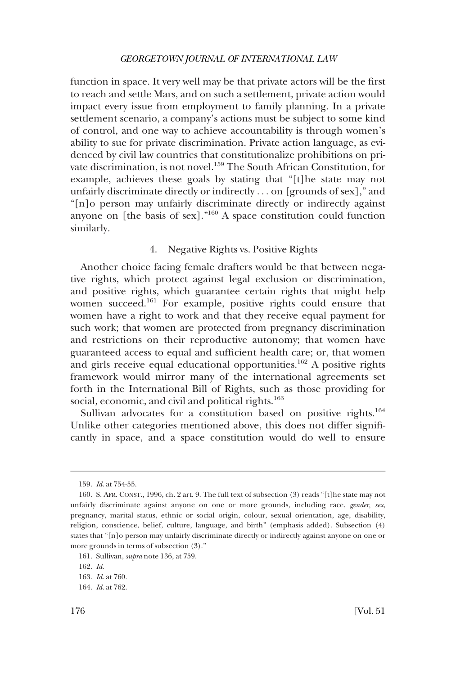<span id="page-29-0"></span>function in space. It very well may be that private actors will be the frst to reach and settle Mars, and on such a settlement, private action would impact every issue from employment to family planning. In a private settlement scenario, a company's actions must be subject to some kind of control, and one way to achieve accountability is through women's ability to sue for private discrimination. Private action language, as evidenced by civil law countries that constitutionalize prohibitions on private discrimination, is not novel.<sup>159</sup> The South African Constitution, for example, achieves these goals by stating that "[t]he state may not unfairly discriminate directly or indirectly . . . on [grounds of sex]," and "[n]o person may unfairly discriminate directly or indirectly against anyone on [the basis of sex]."160 A space constitution could function similarly.

# 4. Negative Rights vs. Positive Rights

Another choice facing female drafters would be that between negative rights, which protect against legal exclusion or discrimination, and positive rights, which guarantee certain rights that might help women succeed.161 For example, positive rights could ensure that women have a right to work and that they receive equal payment for such work; that women are protected from pregnancy discrimination and restrictions on their reproductive autonomy; that women have guaranteed access to equal and suffcient health care; or, that women and girls receive equal educational opportunities.<sup>162</sup> A positive rights framework would mirror many of the international agreements set forth in the International Bill of Rights, such as those providing for social, economic, and civil and political rights.<sup>163</sup>

Sullivan advocates for a constitution based on positive rights.<sup>164</sup> Unlike other categories mentioned above, this does not differ signifcantly in space, and a space constitution would do well to ensure

<sup>159.</sup> *Id*. at 754-55.

<sup>160.</sup> S. AFR. CONST., 1996, ch. 2 art. 9. The full text of subsection (3) reads "[t]he state may not unfairly discriminate against anyone on one or more grounds, including race, *gender, sex*, pregnancy, marital status, ethnic or social origin, colour, sexual orientation, age, disability, religion, conscience, belief, culture, language, and birth" (emphasis added). Subsection (4) states that "[n]o person may unfairly discriminate directly or indirectly against anyone on one or more grounds in terms of subsection (3)."

<sup>161.</sup> Sullivan, *supra* note 136, at 759.

<sup>162.</sup> *Id*.

<sup>163.</sup> *Id*. at 760.

<sup>164.</sup> *Id*. at 762.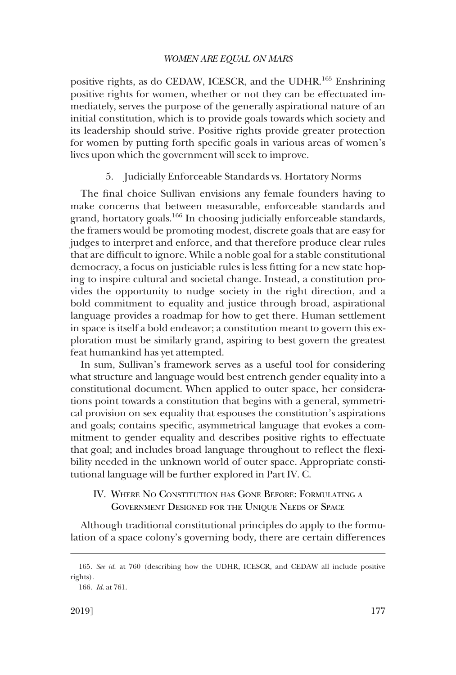<span id="page-30-0"></span>positive rights, as do CEDAW, ICESCR, and the UDHR.165 Enshrining positive rights for women, whether or not they can be effectuated immediately, serves the purpose of the generally aspirational nature of an initial constitution, which is to provide goals towards which society and its leadership should strive. Positive rights provide greater protection for women by putting forth specifc goals in various areas of women's lives upon which the government will seek to improve.

5. Judicially Enforceable Standards vs. Hortatory Norms

The fnal choice Sullivan envisions any female founders having to make concerns that between measurable, enforceable standards and grand, hortatory goals.166 In choosing judicially enforceable standards, the framers would be promoting modest, discrete goals that are easy for judges to interpret and enforce, and that therefore produce clear rules that are diffcult to ignore. While a noble goal for a stable constitutional democracy, a focus on justiciable rules is less ftting for a new state hoping to inspire cultural and societal change. Instead, a constitution provides the opportunity to nudge society in the right direction, and a bold commitment to equality and justice through broad, aspirational language provides a roadmap for how to get there. Human settlement in space is itself a bold endeavor; a constitution meant to govern this exploration must be similarly grand, aspiring to best govern the greatest feat humankind has yet attempted.

In sum, Sullivan's framework serves as a useful tool for considering what structure and language would best entrench gender equality into a constitutional document. When applied to outer space, her considerations point towards a constitution that begins with a general, symmetrical provision on sex equality that espouses the constitution's aspirations and goals; contains specifc, asymmetrical language that evokes a commitment to gender equality and describes positive rights to effectuate that goal; and includes broad language throughout to refect the fexibility needed in the unknown world of outer space. Appropriate constitutional language will be further explored in Part IV. C.

IV. WHERE NO CONSTITUTION HAS GONE BEFORE: FORMULATING A GOVERNMENT DESIGNED FOR THE UNIQUE NEEDS OF SPACE

Although traditional constitutional principles do apply to the formulation of a space colony's governing body, there are certain differences

<sup>165.</sup> *See id*. at 760 (describing how the UDHR, ICESCR, and CEDAW all include positive rights).

<sup>166.</sup> *Id*. at 761.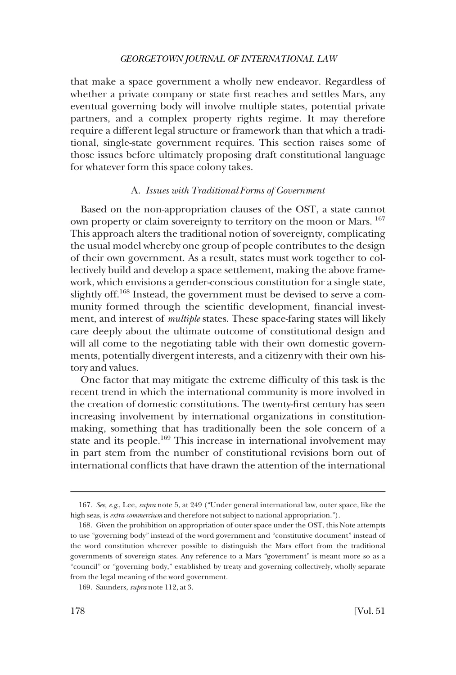<span id="page-31-0"></span>that make a space government a wholly new endeavor. Regardless of whether a private company or state frst reaches and settles Mars, any eventual governing body will involve multiple states, potential private partners, and a complex property rights regime. It may therefore require a different legal structure or framework than that which a traditional, single-state government requires. This section raises some of those issues before ultimately proposing draft constitutional language for whatever form this space colony takes.

#### A. *Issues with Traditional Forms of Government*

Based on the non-appropriation clauses of the OST, a state cannot own property or claim sovereignty to territory on the moon or Mars. 167 This approach alters the traditional notion of sovereignty, complicating the usual model whereby one group of people contributes to the design of their own government. As a result, states must work together to collectively build and develop a space settlement, making the above framework, which envisions a gender-conscious constitution for a single state, slightly off.<sup>168</sup> Instead, the government must be devised to serve a community formed through the scientifc development, fnancial investment, and interest of *multiple* states. These space-faring states will likely care deeply about the ultimate outcome of constitutional design and will all come to the negotiating table with their own domestic governments, potentially divergent interests, and a citizenry with their own history and values.

One factor that may mitigate the extreme diffculty of this task is the recent trend in which the international community is more involved in the creation of domestic constitutions. The twenty-frst century has seen increasing involvement by international organizations in constitutionmaking, something that has traditionally been the sole concern of a state and its people.<sup>169</sup> This increase in international involvement may in part stem from the number of constitutional revisions born out of international conficts that have drawn the attention of the international

<sup>167.</sup> *See, e.g*., Lee, *supra* note 5, at 249 ("Under general international law, outer space, like the high seas, is *extra commercium* and therefore not subject to national appropriation.").

<sup>168.</sup> Given the prohibition on appropriation of outer space under the OST, this Note attempts to use "governing body" instead of the word government and "constitutive document" instead of the word constitution wherever possible to distinguish the Mars effort from the traditional governments of sovereign states. Any reference to a Mars "government" is meant more so as a "council" or "governing body," established by treaty and governing collectively, wholly separate from the legal meaning of the word government.

<sup>169.</sup> Saunders, *supra* note 112, at 3.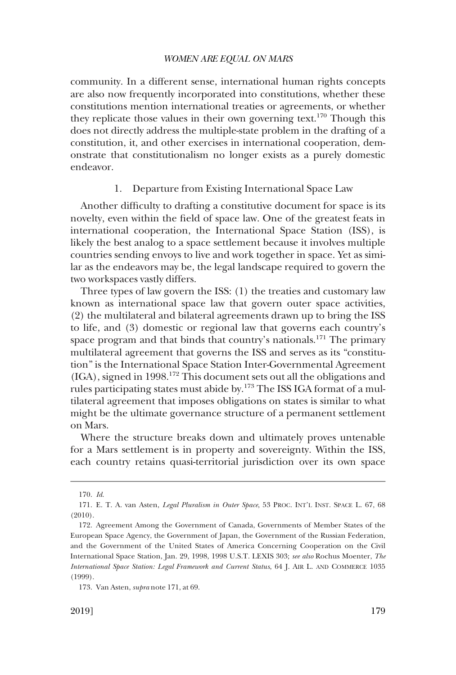<span id="page-32-0"></span>community. In a different sense, international human rights concepts are also now frequently incorporated into constitutions, whether these constitutions mention international treaties or agreements, or whether they replicate those values in their own governing text.<sup>170</sup> Though this does not directly address the multiple-state problem in the drafting of a constitution, it, and other exercises in international cooperation, demonstrate that constitutionalism no longer exists as a purely domestic endeavor.

### 1. Departure from Existing International Space Law

Another diffculty to drafting a constitutive document for space is its novelty, even within the feld of space law. One of the greatest feats in international cooperation, the International Space Station (ISS), is likely the best analog to a space settlement because it involves multiple countries sending envoys to live and work together in space. Yet as similar as the endeavors may be, the legal landscape required to govern the two workspaces vastly differs.

Three types of law govern the ISS: (1) the treaties and customary law known as international space law that govern outer space activities, (2) the multilateral and bilateral agreements drawn up to bring the ISS to life, and (3) domestic or regional law that governs each country's space program and that binds that country's nationals.<sup>171</sup> The primary multilateral agreement that governs the ISS and serves as its "constitution" is the International Space Station Inter-Governmental Agreement (IGA), signed in 1998.172 This document sets out all the obligations and rules participating states must abide by.<sup>173</sup> The ISS IGA format of a multilateral agreement that imposes obligations on states is similar to what might be the ultimate governance structure of a permanent settlement on Mars.

Where the structure breaks down and ultimately proves untenable for a Mars settlement is in property and sovereignty. Within the ISS, each country retains quasi-territorial jurisdiction over its own space

<sup>170.</sup> *Id*.

<sup>171.</sup> E. T. A. van Asten, *Legal Pluralism in Outer Space*, 53 PROC. INT'L INST. SPACE L. 67, 68 (2010).

<sup>172.</sup> Agreement Among the Government of Canada, Governments of Member States of the European Space Agency, the Government of Japan, the Government of the Russian Federation, and the Government of the United States of America Concerning Cooperation on the Civil International Space Station, Jan. 29, 1998, 1998 U.S.T. LEXIS 303; *see also* Rochus Moenter, *The International Space Station: Legal Framework and Current Status*, 64 J. AIR L. AND COMMERCE 1035 (1999).

<sup>173.</sup> Van Asten, *supra* note 171, at 69.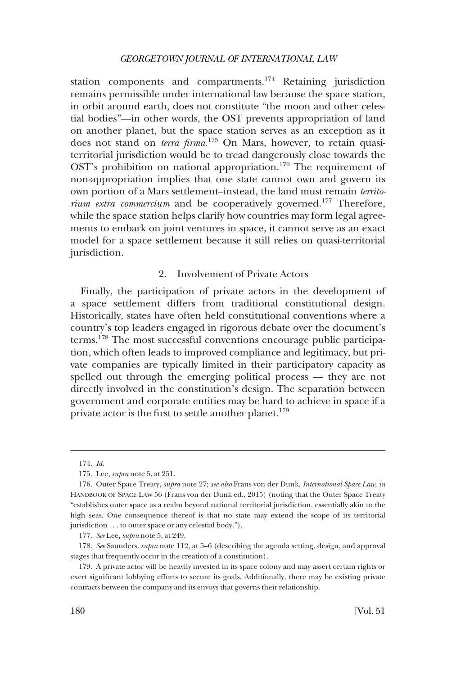<span id="page-33-0"></span>station components and compartments.<sup>174</sup> Retaining jurisdiction remains permissible under international law because the space station, in orbit around earth, does not constitute "the moon and other celestial bodies"—in other words, the OST prevents appropriation of land on another planet, but the space station serves as an exception as it does not stand on *terra frma*. 175 On Mars, however, to retain quasiterritorial jurisdiction would be to tread dangerously close towards the OST's prohibition on national appropriation.<sup>176</sup> The requirement of non-appropriation implies that one state cannot own and govern its own portion of a Mars settlement–instead, the land must remain *territorium extra commercium* and be cooperatively governed.<sup>177</sup> Therefore, while the space station helps clarify how countries may form legal agreements to embark on joint ventures in space, it cannot serve as an exact model for a space settlement because it still relies on quasi-territorial jurisdiction.

### 2. Involvement of Private Actors

Finally, the participation of private actors in the development of a space settlement differs from traditional constitutional design. Historically, states have often held constitutional conventions where a country's top leaders engaged in rigorous debate over the document's terms.178 The most successful conventions encourage public participation, which often leads to improved compliance and legitimacy, but private companies are typically limited in their participatory capacity as spelled out through the emerging political process — they are not directly involved in the constitution's design. The separation between government and corporate entities may be hard to achieve in space if a private actor is the first to settle another planet.<sup>179</sup>

<sup>174.</sup> *Id*.

<sup>175.</sup> Lee, *supra* note 5, at 251.

<sup>176.</sup> Outer Space Treaty, *supra* note 27; *see also* Frans von der Dunk, *International Space Law, in*  HANDBOOK OF SPACE LAW 56 (Frans von der Dunk ed., 2015) (noting that the Outer Space Treaty "establishes outer space as a realm beyond national territorial jurisdiction, essentially akin to the high seas. One consequence thereof is that no state may extend the scope of its territorial jurisdiction . . . to outer space or any celestial body.").

<sup>177.</sup> *See* Lee, *supra* note 5, at 249.

<sup>178.</sup> *See* Saunders, *supra* note 112, at 5–6 (describing the agenda setting, design, and approval stages that frequently occur in the creation of a constitution).

<sup>179.</sup> A private actor will be heavily invested in its space colony and may assert certain rights or exert signifcant lobbying efforts to secure its goals. Additionally, there may be existing private contracts between the company and its envoys that governs their relationship.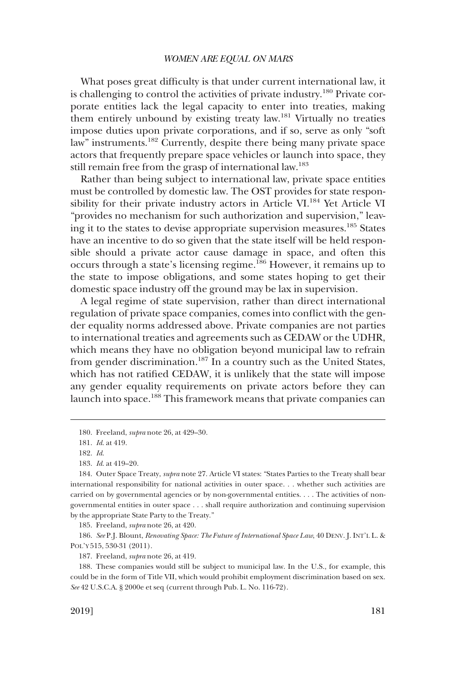What poses great difficulty is that under current international law, it is challenging to control the activities of private industry.<sup>180</sup> Private corporate entities lack the legal capacity to enter into treaties, making them entirely unbound by existing treaty law.181 Virtually no treaties impose duties upon private corporations, and if so, serve as only "soft law" instruments.182 Currently, despite there being many private space actors that frequently prepare space vehicles or launch into space, they still remain free from the grasp of international law.<sup>183</sup>

Rather than being subject to international law, private space entities must be controlled by domestic law. The OST provides for state responsibility for their private industry actors in Article VI.<sup>184</sup> Yet Article VI "provides no mechanism for such authorization and supervision," leaving it to the states to devise appropriate supervision measures.185 States have an incentive to do so given that the state itself will be held responsible should a private actor cause damage in space, and often this occurs through a state's licensing regime.<sup>186</sup> However, it remains up to the state to impose obligations, and some states hoping to get their domestic space industry off the ground may be lax in supervision.

A legal regime of state supervision, rather than direct international regulation of private space companies, comes into confict with the gender equality norms addressed above. Private companies are not parties to international treaties and agreements such as CEDAW or the UDHR, which means they have no obligation beyond municipal law to refrain from gender discrimination.<sup>187</sup> In a country such as the United States, which has not ratifed CEDAW, it is unlikely that the state will impose any gender equality requirements on private actors before they can launch into space.188 This framework means that private companies can

185. Freeland, *supra* note 26, at 420.

186. *See* P.J. Blount, *Renovating Space: The Future of International Space Law*, 40 DENV. J. INT'L L. & POL'Y 515, 530-31 (2011).

187. Freeland, *supra* note 26, at 419.

188. These companies would still be subject to municipal law. In the U.S., for example, this could be in the form of Title VII, which would prohibit employment discrimination based on sex. *See* 42 U.S.C.A. § 2000e et seq (current through Pub. L. No. 116-72).

<sup>180.</sup> Freeland, *supra* note 26, at 429–30.

<sup>181.</sup> *Id*. at 419.

<sup>182.</sup> *Id*.

<sup>183.</sup> *Id*. at 419–20.

<sup>184.</sup> Outer Space Treaty, *supra* note 27. Article VI states: "States Parties to the Treaty shall bear international responsibility for national activities in outer space. . . whether such activities are carried on by governmental agencies or by non-governmental entities. . . . The activities of nongovernmental entities in outer space . . . shall require authorization and continuing supervision by the appropriate State Party to the Treaty."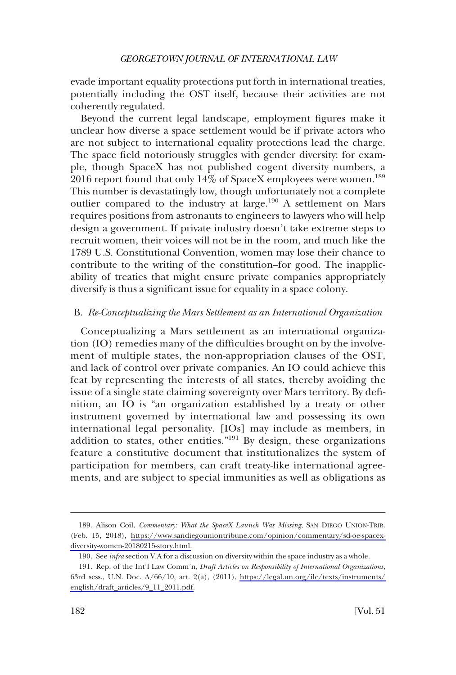<span id="page-35-0"></span>evade important equality protections put forth in international treaties, potentially including the OST itself, because their activities are not coherently regulated.

Beyond the current legal landscape, employment fgures make it unclear how diverse a space settlement would be if private actors who are not subject to international equality protections lead the charge. The space feld notoriously struggles with gender diversity: for example, though SpaceX has not published cogent diversity numbers, a 2016 report found that only  $14\%$  of SpaceX employees were women.<sup>189</sup> This number is devastatingly low, though unfortunately not a complete outlier compared to the industry at large.190 A settlement on Mars requires positions from astronauts to engineers to lawyers who will help design a government. If private industry doesn't take extreme steps to recruit women, their voices will not be in the room, and much like the 1789 U.S. Constitutional Convention, women may lose their chance to contribute to the writing of the constitution–for good. The inapplicability of treaties that might ensure private companies appropriately diversify is thus a signifcant issue for equality in a space colony.

#### B. *Re-Conceptualizing the Mars Settlement as an International Organization*

Conceptualizing a Mars settlement as an international organization (IO) remedies many of the diffculties brought on by the involvement of multiple states, the non-appropriation clauses of the OST, and lack of control over private companies. An IO could achieve this feat by representing the interests of all states, thereby avoiding the issue of a single state claiming sovereignty over Mars territory. By defnition, an IO is "an organization established by a treaty or other instrument governed by international law and possessing its own international legal personality. [IOs] may include as members, in addition to states, other entities."<sup>191</sup> By design, these organizations feature a constitutive document that institutionalizes the system of participation for members, can craft treaty-like international agreements, and are subject to special immunities as well as obligations as

<sup>189.</sup> Alison Coil, *Commentary: What the SpaceX Launch Was Missing*, SAN DIEGO UNION-TRIB. (Feb. 15, 2018), [https://www.sandiegouniontribune.com/opinion/commentary/sd-oe-spacex](https://www.sandiegouniontribune.com/opinion/commentary/sd-oe-spacex-diversity-women-20180215-story.html)[diversity-women-20180215-story.html.](https://www.sandiegouniontribune.com/opinion/commentary/sd-oe-spacex-diversity-women-20180215-story.html)

<sup>190.</sup> See *infra* section V.A for a discussion on diversity within the space industry as a whole.

<sup>191.</sup> Rep. of the Int'l Law Comm'n, *Draft Articles on Responsibility of International Organizations*, 63rd sess., U.N. Doc. A/66/10, art. 2(a), (2011), [https://legal.un.org/ilc/texts/instruments/](https://legal.un.org/ilc/texts/instruments/english/draft_articles/9_11_2011.pdf)  [english/draft\\_articles/9\\_11\\_2011.pdf.](https://legal.un.org/ilc/texts/instruments/english/draft_articles/9_11_2011.pdf)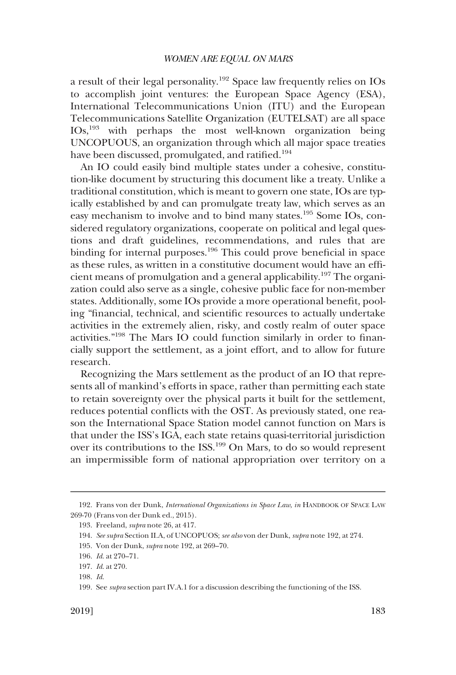a result of their legal personality.192 Space law frequently relies on IOs to accomplish joint ventures: the European Space Agency (ESA), International Telecommunications Union (ITU) and the European Telecommunications Satellite Organization (EUTELSAT) are all space IOs,193 with perhaps the most well-known organization being UNCOPUOUS, an organization through which all major space treaties have been discussed, promulgated, and ratified.<sup>194</sup>

An IO could easily bind multiple states under a cohesive, constitution-like document by structuring this document like a treaty. Unlike a traditional constitution, which is meant to govern one state, IOs are typically established by and can promulgate treaty law, which serves as an easy mechanism to involve and to bind many states.195 Some IOs, considered regulatory organizations, cooperate on political and legal questions and draft guidelines, recommendations, and rules that are binding for internal purposes.<sup>196</sup> This could prove beneficial in space as these rules, as written in a constitutive document would have an effcient means of promulgation and a general applicability.197 The organization could also serve as a single, cohesive public face for non-member states. Additionally, some IOs provide a more operational beneft, pooling "fnancial, technical, and scientifc resources to actually undertake activities in the extremely alien, risky, and costly realm of outer space activities."198 The Mars IO could function similarly in order to fnancially support the settlement, as a joint effort, and to allow for future research.

Recognizing the Mars settlement as the product of an IO that represents all of mankind's efforts in space, rather than permitting each state to retain sovereignty over the physical parts it built for the settlement, reduces potential conficts with the OST. As previously stated, one reason the International Space Station model cannot function on Mars is that under the ISS's IGA, each state retains quasi-territorial jurisdiction over its contributions to the ISS.199 On Mars, to do so would represent an impermissible form of national appropriation over territory on a

<sup>192.</sup> Frans von der Dunk, *International Organizations in Space Law*, *in* HANDBOOK OF SPACE LAW 269-70 (Frans von der Dunk ed., 2015).

<sup>193.</sup> Freeland, *supra* note 26, at 417.

<sup>194.</sup> *See supra* Section II.A, of UNCOPUOS; *see also* von der Dunk, *supra* note 192, at 274.

<sup>195.</sup> Von der Dunk, *supra* note 192, at 269–70.

<sup>196.</sup> *Id*. at 270–71.

<sup>197.</sup> *Id*. at 270.

<sup>198.</sup> *Id*.

<sup>199.</sup> See *supra* section part IV.A.1 for a discussion describing the functioning of the ISS.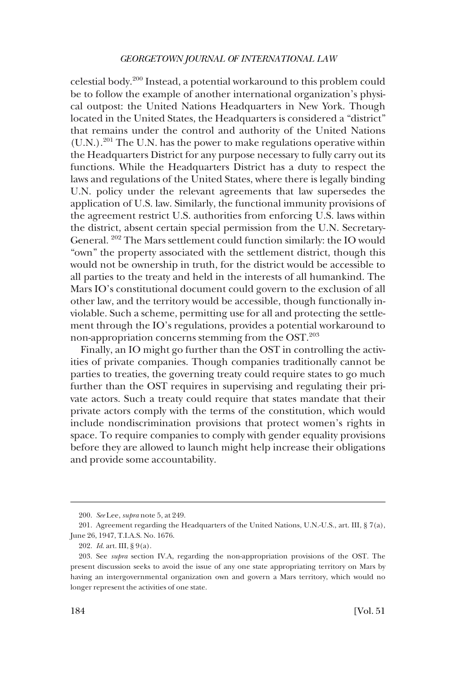celestial body.200 Instead, a potential workaround to this problem could be to follow the example of another international organization's physical outpost: the United Nations Headquarters in New York. Though located in the United States, the Headquarters is considered a "district" that remains under the control and authority of the United Nations  $(U.N.)$ <sup>201</sup> The U.N. has the power to make regulations operative within the Headquarters District for any purpose necessary to fully carry out its functions. While the Headquarters District has a duty to respect the laws and regulations of the United States, where there is legally binding U.N. policy under the relevant agreements that law supersedes the application of U.S. law. Similarly, the functional immunity provisions of the agreement restrict U.S. authorities from enforcing U.S. laws within the district, absent certain special permission from the U.N. Secretary-General. 202 The Mars settlement could function similarly: the IO would "own" the property associated with the settlement district, though this would not be ownership in truth, for the district would be accessible to all parties to the treaty and held in the interests of all humankind. The Mars IO's constitutional document could govern to the exclusion of all other law, and the territory would be accessible, though functionally inviolable. Such a scheme, permitting use for all and protecting the settlement through the IO's regulations, provides a potential workaround to non-appropriation concerns stemming from the OST.<sup>203</sup>

Finally, an IO might go further than the OST in controlling the activities of private companies. Though companies traditionally cannot be parties to treaties, the governing treaty could require states to go much further than the OST requires in supervising and regulating their private actors. Such a treaty could require that states mandate that their private actors comply with the terms of the constitution, which would include nondiscrimination provisions that protect women's rights in space. To require companies to comply with gender equality provisions before they are allowed to launch might help increase their obligations and provide some accountability.

<sup>200.</sup> *See* Lee, *supra* note 5, at 249.

<sup>201.</sup> Agreement regarding the Headquarters of the United Nations, U.N.-U.S., art. III, § 7(a), June 26, 1947, T.I.A.S. No. 1676.

<sup>202.</sup> *Id*. art. III, § 9(a).

<sup>203.</sup> See *supra* section IV.A, regarding the non-appropriation provisions of the OST. The present discussion seeks to avoid the issue of any one state appropriating territory on Mars by having an intergovernmental organization own and govern a Mars territory, which would no longer represent the activities of one state.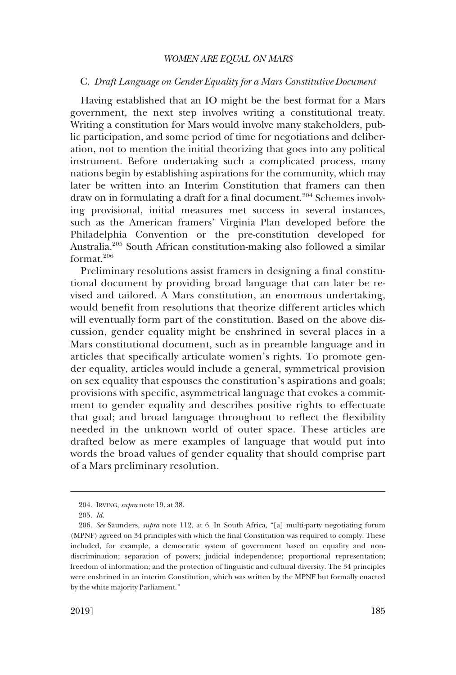### <span id="page-38-0"></span>C. *Draft Language on Gender Equality for a Mars Constitutive Document*

Having established that an IO might be the best format for a Mars government, the next step involves writing a constitutional treaty. Writing a constitution for Mars would involve many stakeholders, public participation, and some period of time for negotiations and deliberation, not to mention the initial theorizing that goes into any political instrument. Before undertaking such a complicated process, many nations begin by establishing aspirations for the community, which may later be written into an Interim Constitution that framers can then draw on in formulating a draft for a final document.<sup>204</sup> Schemes involving provisional, initial measures met success in several instances, such as the American framers' Virginia Plan developed before the Philadelphia Convention or the pre-constitution developed for Australia.205 South African constitution-making also followed a similar format.206

Preliminary resolutions assist framers in designing a final constitutional document by providing broad language that can later be revised and tailored. A Mars constitution, an enormous undertaking, would beneft from resolutions that theorize different articles which will eventually form part of the constitution. Based on the above discussion, gender equality might be enshrined in several places in a Mars constitutional document, such as in preamble language and in articles that specifcally articulate women's rights. To promote gender equality, articles would include a general, symmetrical provision on sex equality that espouses the constitution's aspirations and goals; provisions with specifc, asymmetrical language that evokes a commitment to gender equality and describes positive rights to effectuate that goal; and broad language throughout to refect the fexibility needed in the unknown world of outer space. These articles are drafted below as mere examples of language that would put into words the broad values of gender equality that should comprise part of a Mars preliminary resolution.

<sup>204.</sup> IRVING, *supra* note 19, at 38.

<sup>205.</sup> *Id*.

<sup>206.</sup> *See* Saunders, *supra* note 112, at 6. In South Africa, "[a] multi-party negotiating forum (MPNF) agreed on 34 principles with which the fnal Constitution was required to comply. These included, for example, a democratic system of government based on equality and nondiscrimination; separation of powers; judicial independence; proportional representation; freedom of information; and the protection of linguistic and cultural diversity. The 34 principles were enshrined in an interim Constitution, which was written by the MPNF but formally enacted by the white majority Parliament."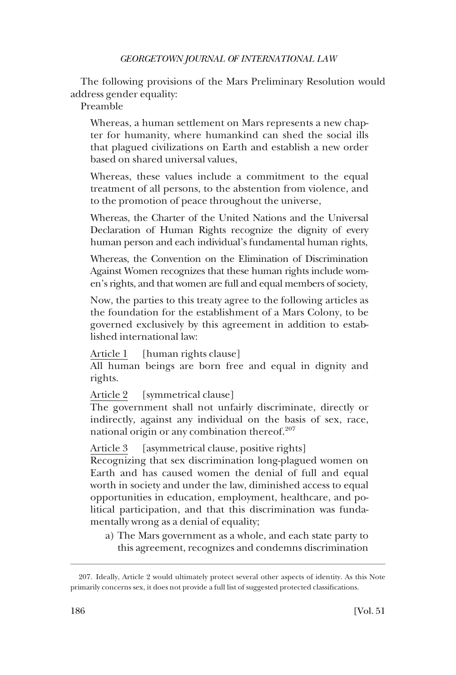The following provisions of the Mars Preliminary Resolution would address gender equality:

Preamble

Whereas, a human settlement on Mars represents a new chapter for humanity, where humankind can shed the social ills that plagued civilizations on Earth and establish a new order based on shared universal values,

Whereas, these values include a commitment to the equal treatment of all persons, to the abstention from violence, and to the promotion of peace throughout the universe,

Whereas, the Charter of the United Nations and the Universal Declaration of Human Rights recognize the dignity of every human person and each individual's fundamental human rights,

Whereas, the Convention on the Elimination of Discrimination Against Women recognizes that these human rights include women's rights, and that women are full and equal members of society,

Now, the parties to this treaty agree to the following articles as the foundation for the establishment of a Mars Colony, to be governed exclusively by this agreement in addition to established international law:

Article 1 [human rights clause]

All human beings are born free and equal in dignity and rights.

Article 2 [symmetrical clause]

The government shall not unfairly discriminate, directly or indirectly, against any individual on the basis of sex, race, national origin or any combination thereof. $207$ 

Article 3 [asymmetrical clause, positive rights]

Recognizing that sex discrimination long-plagued women on Earth and has caused women the denial of full and equal worth in society and under the law, diminished access to equal opportunities in education, employment, healthcare, and political participation, and that this discrimination was fundamentally wrong as a denial of equality;

a) The Mars government as a whole, and each state party to this agreement, recognizes and condemns discrimination

<sup>207.</sup> Ideally, Article 2 would ultimately protect several other aspects of identity. As this Note primarily concerns sex, it does not provide a full list of suggested protected classifcations.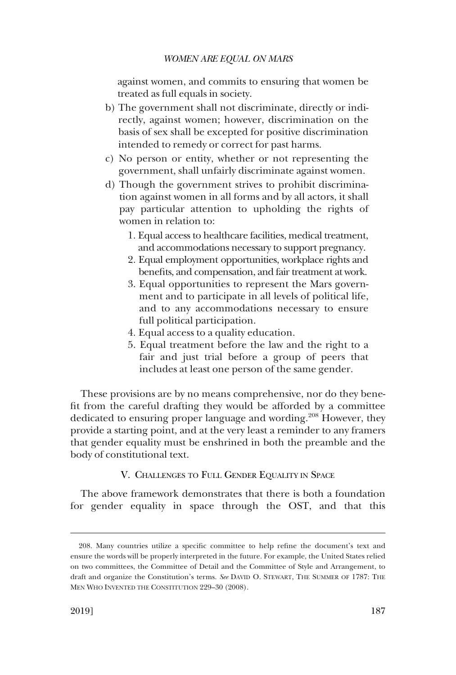<span id="page-40-0"></span>against women, and commits to ensuring that women be treated as full equals in society.

- b) The government shall not discriminate, directly or indirectly, against women; however, discrimination on the basis of sex shall be excepted for positive discrimination intended to remedy or correct for past harms.
- c) No person or entity, whether or not representing the government, shall unfairly discriminate against women.
- d) Though the government strives to prohibit discrimination against women in all forms and by all actors, it shall pay particular attention to upholding the rights of women in relation to:
	- 1. Equal access to healthcare facilities, medical treatment, and accommodations necessary to support pregnancy.
	- 2. Equal employment opportunities, workplace rights and benefts, and compensation, and fair treatment at work.
	- 3. Equal opportunities to represent the Mars government and to participate in all levels of political life, and to any accommodations necessary to ensure full political participation.
	- 4. Equal access to a quality education.
	- 5. Equal treatment before the law and the right to a fair and just trial before a group of peers that includes at least one person of the same gender.

These provisions are by no means comprehensive, nor do they beneft from the careful drafting they would be afforded by a committee dedicated to ensuring proper language and wording.<sup>208</sup> However, they provide a starting point, and at the very least a reminder to any framers that gender equality must be enshrined in both the preamble and the body of constitutional text.

V. CHALLENGES TO FULL GENDER EQUALITY IN SPACE

The above framework demonstrates that there is both a foundation for gender equality in space through the OST, and that this

<sup>208.</sup> Many countries utilize a specifc committee to help refne the document's text and ensure the words will be properly interpreted in the future. For example, the United States relied on two committees, the Committee of Detail and the Committee of Style and Arrangement, to draft and organize the Constitution's terms. *See* DAVID O. STEWART, THE SUMMER OF 1787: THE MEN WHO INVENTED THE CONSTITUTION 229–30 (2008).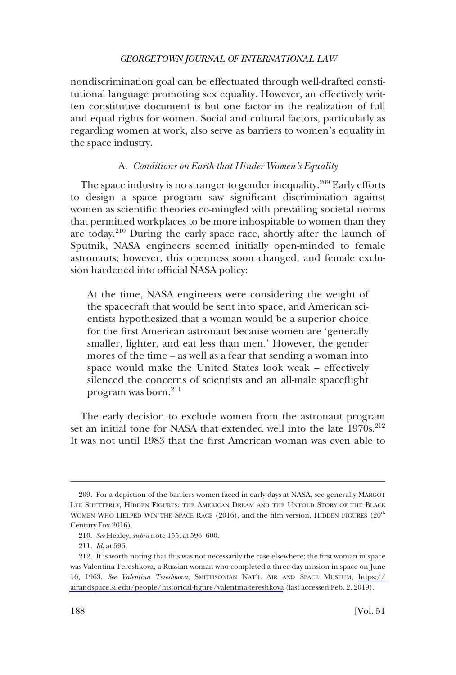<span id="page-41-0"></span>nondiscrimination goal can be effectuated through well-drafted constitutional language promoting sex equality. However, an effectively written constitutive document is but one factor in the realization of full and equal rights for women. Social and cultural factors, particularly as regarding women at work, also serve as barriers to women's equality in the space industry.

### A. *Conditions on Earth that Hinder Women's Equality*

The space industry is no stranger to gender inequality.<sup>209</sup> Early efforts to design a space program saw signifcant discrimination against women as scientifc theories co-mingled with prevailing societal norms that permitted workplaces to be more inhospitable to women than they are today.210 During the early space race, shortly after the launch of Sputnik, NASA engineers seemed initially open-minded to female astronauts; however, this openness soon changed, and female exclusion hardened into official NASA policy:

At the time, NASA engineers were considering the weight of the spacecraft that would be sent into space, and American scientists hypothesized that a woman would be a superior choice for the frst American astronaut because women are 'generally smaller, lighter, and eat less than men.' However, the gender mores of the time – as well as a fear that sending a woman into space would make the United States look weak – effectively silenced the concerns of scientists and an all-male spacefight program was born.<sup>211</sup>

The early decision to exclude women from the astronaut program set an initial tone for NASA that extended well into the late 1970s.<sup>212</sup> It was not until 1983 that the frst American woman was even able to

<sup>209.</sup> For a depiction of the barriers women faced in early days at NASA, see generally MARGOT LEE SHETTERLY, HIDDEN FIGURES: THE AMERICAN DREAM AND THE UNTOLD STORY OF THE BLACK WOMEN WHO HELPED WIN THE SPACE RACE  $(2016)$ , and the film version, HIDDEN FIGURES  $(20<sup>th</sup>$ Century Fox 2016).

<sup>210.</sup> *See* Healey, *supra* note 155, at 596–600.

<sup>211.</sup> *Id*. at 596.

<sup>212.</sup> It is worth noting that this was not necessarily the case elsewhere; the first woman in space was Valentina Tereshkova, a Russian woman who completed a three-day mission in space on June 16, 1963. *See Valentina Tereshkova*, SMITHSONIAN NAT'L AIR AND SPACE MUSEUM, [https://](https://airandspace.si.edu/people/historical-figure/valentina-tereshkova)  [airandspace.si.edu/people/historical-fgure/valentina-tereshkova](https://airandspace.si.edu/people/historical-figure/valentina-tereshkova) (last accessed Feb. 2, 2019).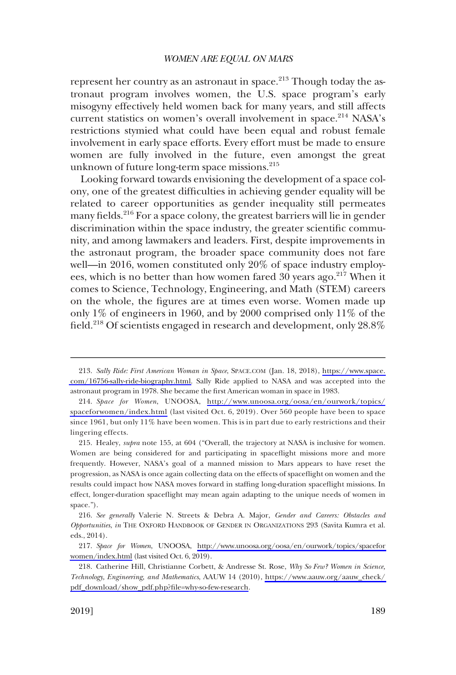represent her country as an astronaut in space. $^{213}$  Though today the astronaut program involves women, the U.S. space program's early misogyny effectively held women back for many years, and still affects current statistics on women's overall involvement in space.<sup>214</sup> NASA's restrictions stymied what could have been equal and robust female involvement in early space efforts. Every effort must be made to ensure women are fully involved in the future, even amongst the great unknown of future long-term space missions.<sup>215</sup>

Looking forward towards envisioning the development of a space colony, one of the greatest diffculties in achieving gender equality will be related to career opportunities as gender inequality still permeates many fields.<sup>216</sup> For a space colony, the greatest barriers will lie in gender discrimination within the space industry, the greater scientifc community, and among lawmakers and leaders. First, despite improvements in the astronaut program, the broader space community does not fare well—in 2016, women constituted only 20% of space industry employees, which is no better than how women fared  $30$  years ago.<sup>217</sup> When it comes to Science, Technology, Engineering, and Math (STEM) careers on the whole, the fgures are at times even worse. Women made up only 1% of engineers in 1960, and by 2000 comprised only 11% of the field.<sup>218</sup> Of scientists engaged in research and development, only 28.8%

*Sally Ride: First American Woman in Space*, SPACE.COM (Jan. 18, 2018), [https://www.space.](https://www.space.com/16756-sally-ride-biography.html) 213. [com/16756-sally-ride-biography.html.](https://www.space.com/16756-sally-ride-biography.html) Sally Ride applied to NASA and was accepted into the astronaut program in 1978. She became the frst American woman in space in 1983.

*Space for Women*, UNOOSA, [http://www.unoosa.org/oosa/en/ourwork/topics/](http://www.unoosa.org/oosa/en/ourwork/topics/spaceforwomen/index.html) 214. [spaceforwomen/index.html](http://www.unoosa.org/oosa/en/ourwork/topics/spaceforwomen/index.html) (last visited Oct. 6, 2019). Over 560 people have been to space since 1961, but only 11% have been women. This is in part due to early restrictions and their lingering effects.

<sup>215.</sup> Healey, *supra* note 155, at 604 ("Overall, the trajectory at NASA is inclusive for women. Women are being considered for and participating in spacefight missions more and more frequently. However, NASA's goal of a manned mission to Mars appears to have reset the progression, as NASA is once again collecting data on the effects of spacefight on women and the results could impact how NASA moves forward in staffng long-duration spacefight missions. In effect, longer-duration spacefight may mean again adapting to the unique needs of women in space.").

<sup>216.</sup> *See generally* Valerie N. Streets & Debra A. Major, *Gender and Careers: Obstacles and Opportunities*, *in* THE OXFORD HANDBOOK OF GENDER IN ORGANIZATIONS 293 (Savita Kumra et al. eds., 2014).

*Space for Women*, UNOOSA, [http://www.unoosa.org/oosa/en/ourwork/topics/spacefor](http://www.unoosa.org/oosa/en/ourwork/topics/spaceforwomen/index.html)  217. [women/index.html](http://www.unoosa.org/oosa/en/ourwork/topics/spaceforwomen/index.html) (last visited Oct. 6, 2019).

Catherine Hill, Christianne Corbett, & Andresse St. Rose, *Why So Few? Women in Science,*  218. *Technology, Engineering, and Mathematics*, AAUW 14 (2010), [https://www.aauw.org/aauw\\_check/](https://www.aauw.org/aauw_check/pdf_download/show_pdf.php?file=why-so-few-research)  [pdf\\_download/show\\_pdf.php?fle=why-so-few-research.](https://www.aauw.org/aauw_check/pdf_download/show_pdf.php?file=why-so-few-research)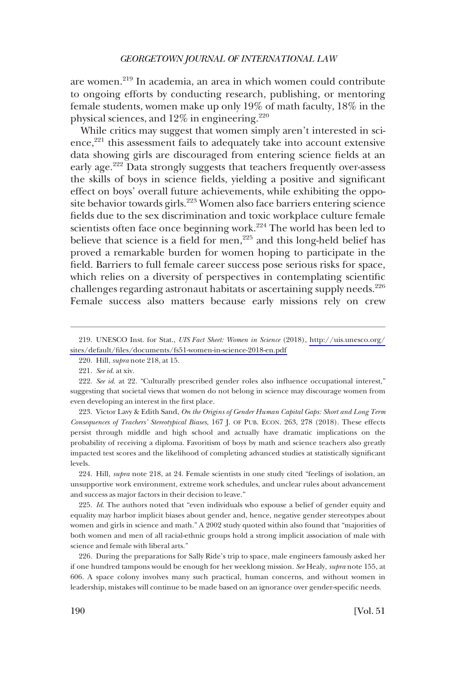are women.<sup>219</sup> In academia, an area in which women could contribute to ongoing efforts by conducting research, publishing, or mentoring female students, women make up only 19% of math faculty, 18% in the physical sciences, and  $12\%$  in engineering.<sup>220</sup>

While critics may suggest that women simply aren't interested in sci- $\text{ence},^{221}$  this assessment fails to adequately take into account extensive data showing girls are discouraged from entering science felds at an early age.<sup>222</sup> Data strongly suggests that teachers frequently over-assess the skills of boys in science felds, yielding a positive and signifcant effect on boys' overall future achievements, while exhibiting the opposite behavior towards girls.<sup>223</sup> Women also face barriers entering science felds due to the sex discrimination and toxic workplace culture female scientists often face once beginning work.<sup>224</sup> The world has been led to believe that science is a field for men, $225$  and this long-held belief has proved a remarkable burden for women hoping to participate in the feld. Barriers to full female career success pose serious risks for space, which relies on a diversity of perspectives in contemplating scientifc challenges regarding astronaut habitats or ascertaining supply needs.<sup>226</sup> Female success also matters because early missions rely on crew

223. Victor Lavy & Edith Sand, *On the Origins of Gender Human Capital Gaps: Short and Long Term Consequences of Teachers' Stereotypical Biases*, 167 J. OF PUB. ECON. 263, 278 (2018). These effects persist through middle and high school and actually have dramatic implications on the probability of receiving a diploma. Favoritism of boys by math and science teachers also greatly impacted test scores and the likelihood of completing advanced studies at statistically signifcant levels.

224. Hill, *supra* note 218, at 24. Female scientists in one study cited "feelings of isolation, an unsupportive work environment, extreme work schedules, and unclear rules about advancement and success as major factors in their decision to leave."

225. *Id*. The authors noted that "even individuals who espouse a belief of gender equity and equality may harbor implicit biases about gender and, hence, negative gender stereotypes about women and girls in science and math." A 2002 study quoted within also found that "majorities of both women and men of all racial-ethnic groups hold a strong implicit association of male with science and female with liberal arts."

226. During the preparations for Sally Ride's trip to space, male engineers famously asked her if one hundred tampons would be enough for her weeklong mission. *See* Healy, *supra* note 155, at 606. A space colony involves many such practical, human concerns, and without women in leadership, mistakes will continue to be made based on an ignorance over gender-specifc needs.

UNESCO Inst. for Stat., *UIS Fact Sheet: Women in Science* (2018), [http://uis.unesco.org/](http://uis.unesco.org/sites/default/files/documents/fs51-women-in-science-2018-en.pdf)  219. [sites/default/fles/documents/fs51-women-in-science-2018-en.pdf](http://uis.unesco.org/sites/default/files/documents/fs51-women-in-science-2018-en.pdf)

<sup>220.</sup> Hill, *supra* note 218, at 15.

<sup>221.</sup> *See id*. at xiv.

<sup>222.</sup> *See id*. at 22. "Culturally prescribed gender roles also infuence occupational interest," suggesting that societal views that women do not belong in science may discourage women from even developing an interest in the frst place.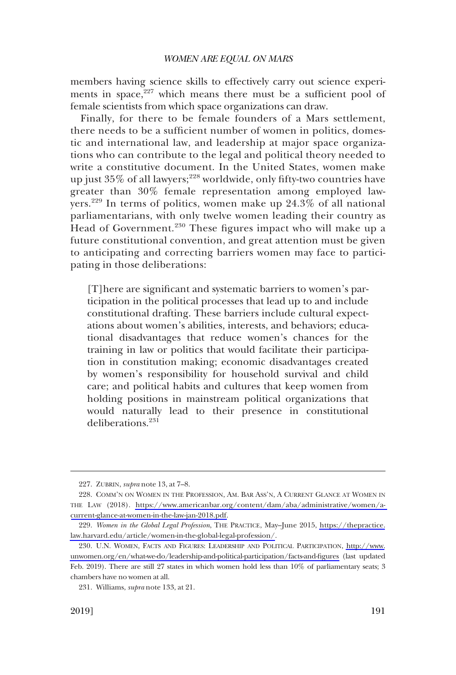members having science skills to effectively carry out science experiments in space, $227$  which means there must be a sufficient pool of female scientists from which space organizations can draw.

Finally, for there to be female founders of a Mars settlement, there needs to be a suffcient number of women in politics, domestic and international law, and leadership at major space organizations who can contribute to the legal and political theory needed to write a constitutive document. In the United States, women make up just  $35\%$  of all lawyers; $^{228}$  worldwide, only fifty-two countries have greater than 30% female representation among employed lawyers.<sup>229</sup> In terms of politics, women make up 24.3% of all national parliamentarians, with only twelve women leading their country as Head of Government.<sup>230</sup> These figures impact who will make up a future constitutional convention, and great attention must be given to anticipating and correcting barriers women may face to participating in those deliberations:

[T]here are signifcant and systematic barriers to women's participation in the political processes that lead up to and include constitutional drafting. These barriers include cultural expectations about women's abilities, interests, and behaviors; educational disadvantages that reduce women's chances for the training in law or politics that would facilitate their participation in constitution making; economic disadvantages created by women's responsibility for household survival and child care; and political habits and cultures that keep women from holding positions in mainstream political organizations that would naturally lead to their presence in constitutional deliberations.<sup>231</sup>

<sup>227.</sup> ZUBRIN, *supra* note 13, at 7–8.

<sup>228.</sup> COMM'N ON WOMEN IN THE PROFESSION, AM. BAR ASS'N, A CURRENT GLANCE AT WOMEN IN THE LAW (2018). [https://www.americanbar.org/content/dam/aba/administrative/women/a](https://www.americanbar.org/content/dam/aba/administrative/women/a-current-glance-at-women-in-the-law-jan-2018.pdf)[current-glance-at-women-in-the-law-jan-2018.pdf.](https://www.americanbar.org/content/dam/aba/administrative/women/a-current-glance-at-women-in-the-law-jan-2018.pdf)

<sup>229.</sup> Women in the Global Legal Profession, THE PRACTICE, May-June 2015, [https://thepractice.](https://thepractice.law.harvard.edu/article/women-in-the-global-legal-profession/) [law.harvard.edu/article/women-in-the-global-legal-profession/](https://thepractice.law.harvard.edu/article/women-in-the-global-legal-profession/).

<sup>230.</sup> U.N. WOMEN, FACTS AND FIGURES: LEADERSHIP AND POLITICAL PARTICIPATION, [http://www.](http://www.unwomen.org/en/what-we-do/leadership-and-political-participation/facts-and-figures) [unwomen.org/en/what-we-do/leadership-and-political-participation/facts-and-fgures](http://www.unwomen.org/en/what-we-do/leadership-and-political-participation/facts-and-figures) (last updated Feb. 2019). There are still 27 states in which women hold less than 10% of parliamentary seats; 3 chambers have no women at all.

<sup>231.</sup> Williams, *supra* note 133, at 21.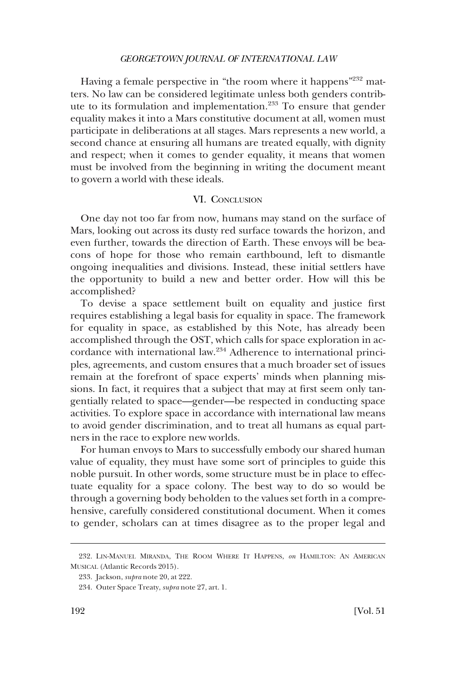<span id="page-45-0"></span>Having a female perspective in "the room where it happens"<sup>232</sup> matters. No law can be considered legitimate unless both genders contribute to its formulation and implementation.233 To ensure that gender equality makes it into a Mars constitutive document at all, women must participate in deliberations at all stages. Mars represents a new world, a second chance at ensuring all humans are treated equally, with dignity and respect; when it comes to gender equality, it means that women must be involved from the beginning in writing the document meant to govern a world with these ideals.

#### VI. CONCLUSION

One day not too far from now, humans may stand on the surface of Mars, looking out across its dusty red surface towards the horizon, and even further, towards the direction of Earth. These envoys will be beacons of hope for those who remain earthbound, left to dismantle ongoing inequalities and divisions. Instead, these initial settlers have the opportunity to build a new and better order. How will this be accomplished?

To devise a space settlement built on equality and justice frst requires establishing a legal basis for equality in space. The framework for equality in space, as established by this Note, has already been accomplished through the OST, which calls for space exploration in accordance with international law.234 Adherence to international principles, agreements, and custom ensures that a much broader set of issues remain at the forefront of space experts' minds when planning missions. In fact, it requires that a subject that may at frst seem only tangentially related to space—gender—be respected in conducting space activities. To explore space in accordance with international law means to avoid gender discrimination, and to treat all humans as equal partners in the race to explore new worlds.

For human envoys to Mars to successfully embody our shared human value of equality, they must have some sort of principles to guide this noble pursuit. In other words, some structure must be in place to effectuate equality for a space colony. The best way to do so would be through a governing body beholden to the values set forth in a comprehensive, carefully considered constitutional document. When it comes to gender, scholars can at times disagree as to the proper legal and

<sup>232.</sup> LIN-MANUEL MIRANDA, THE ROOM WHERE IT HAPPENS, *on* HAMILTON: AN AMERICAN MUSICAL (Atlantic Records 2015).

<sup>233.</sup> Jackson, *supra* note 20, at 222.

<sup>234.</sup> Outer Space Treaty, *supra* note 27, art. 1.